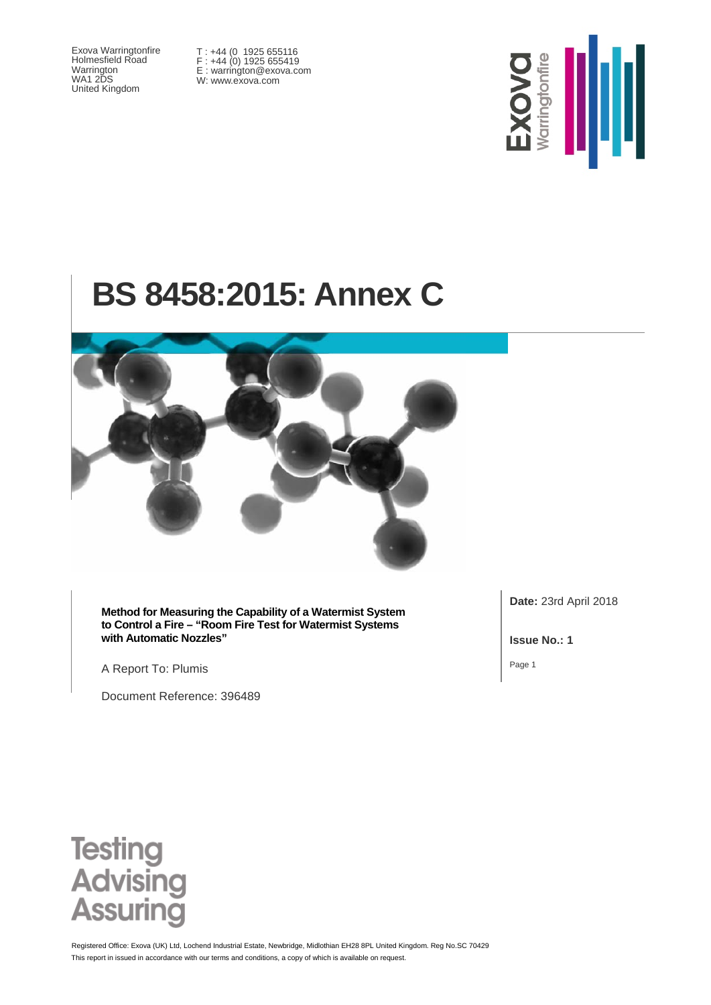Exova Warringtonfire Holmesfield Road Warrington WA1 2DS United Kingdom

T : +44 (0 1925 655116 F : +44 (0) 1925 655419 E : warrington@exova.com W: www.exova.com



# **BS 8458:2015: Annex C**



**Method for Measuring the Capability of a Watermist System to Control a Fire – "Room Fire Test for Watermist Systems with Automatic Nozzles"**

A Report To: Plumis

Document Reference: 396489

**Date:** 23rd April 2018

**Issue No.: 1**

Page 1



This report in issued in accordance with our terms and conditions, a copy of which is available on request. Registered Office: Exova (UK) Ltd, Lochend Industrial Estate, Newbridge, Midlothian EH28 8PL United Kingdom. Reg No.SC 70429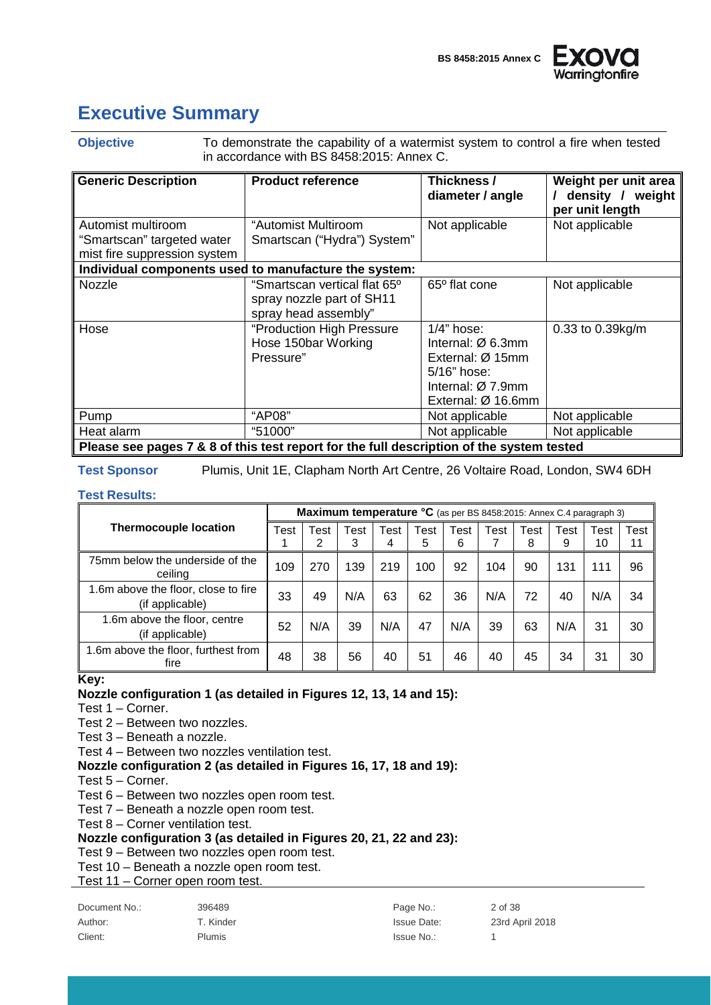

## <span id="page-1-0"></span>**Executive Summary**

**Objective** To demonstrate the capability of a watermist system to control a fire when tested in accordance with BS 8458:2015: Annex C.

| <b>Generic Description</b>                                                       | <b>Product reference</b>                                                                      | Thickness /<br>diameter / angle                                                                                                                       | Weight per unit area<br>density / weight<br>per unit length |
|----------------------------------------------------------------------------------|-----------------------------------------------------------------------------------------------|-------------------------------------------------------------------------------------------------------------------------------------------------------|-------------------------------------------------------------|
| Automist multiroom<br>"Smartscan" targeted water<br>mist fire suppression system | "Automist Multiroom<br>Smartscan ("Hydra") System"                                            | Not applicable                                                                                                                                        | Not applicable                                              |
|                                                                                  | Individual components used to manufacture the system:                                         |                                                                                                                                                       |                                                             |
| Nozzle                                                                           | "Smartscan vertical flat 65 <sup>o</sup><br>spray nozzle part of SH11<br>spray head assembly" | 65 <sup>°</sup> flat cone                                                                                                                             | Not applicable                                              |
| Hose                                                                             | "Production High Pressure<br>Hose 150bar Working<br>Pressure"                                 | $1/4"$ hose:<br>Internal: $\varnothing$ 6.3mm<br>External: Ø 15mm<br>$5/16"$ hose:<br>Internal: $\varnothing$ 7.9mm<br>External: $\varnothing$ 16.6mm | 0.33 to 0.39kg/m                                            |
| Pump                                                                             | "AP08"                                                                                        | Not applicable                                                                                                                                        | Not applicable                                              |
| Heat alarm                                                                       | "51000"                                                                                       | Not applicable                                                                                                                                        | Not applicable                                              |
|                                                                                  | Please see pages 7 & 8 of this test report for the full description of the system tested      |                                                                                                                                                       |                                                             |

#### **Test Sponsor** Plumis, Unit 1E, Clapham North Art Centre, 26 Voltaire Road, London, SW4 6DH

#### **Test Results:**

**Thermocouple location Maximum temperature °C** (as per BS 8458:2015: Annex C.4 paragraph 3) Test 1 Test 2 Test 3 Test 4 Test 5 Test 6 Test 7 Test 8 Test 9 Test 10 Test 11 75mm below the underside of the no andorolas or the || 109 || 270 || 139 || 219 || 100 || 92 || 104 || 90 || 131 || 111 || 96<br>ceiling 1.6m above the floor, close to fire  $\left( \text{if applicable} \right)$  33  $\left| 33 \right|$  49  $\left| N/A \right|$  63  $\left| 62 \right|$  36  $\left| N/A \right|$  72  $\left| 40 \right| N/A$  34 1.6m above the floor, centre (if applicable) <sup>52</sup> N/A <sup>39</sup> N/A <sup>47</sup> N/A <sup>39</sup> <sup>63</sup> N/A <sup>31</sup> <sup>30</sup> 1.6m above the floor, furthest from<br>fire fire <sup>48</sup> <sup>38</sup> <sup>56</sup> <sup>40</sup> <sup>51</sup> <sup>46</sup> <sup>40</sup> <sup>45</sup> <sup>34</sup> <sup>31</sup> <sup>30</sup>

**Key:**

#### **Nozzle configuration 1 (as detailed in Figures 12, 13, 14 and 15):**

Test 1 – Corner.

Test 2 – Between two nozzles.

Test 3 – Beneath a nozzle.

Test 4 – Between two nozzles ventilation test.

**Nozzle configuration 2 (as detailed in Figures 16, 17, 18 and 19):**

- Test 5 Corner.
- Test 6 Between two nozzles open room test.
- Test 7 Beneath a nozzle open room test.
- Test 8 Corner ventilation test.

#### **Nozzle configuration 3 (as detailed in Figures 20, 21, 22 and 23):**

Test 9 – Between two nozzles open room test.

Test 10 – Beneath a nozzle open room test.

Test 11 – Corner open room test.

| Document No.: | 396489        | Page No.:   | 2 of 38         |
|---------------|---------------|-------------|-----------------|
| Author:       | T. Kinder     | Issue Date: | 23rd April 2018 |
| Client:       | <b>Plumis</b> | Issue No.:  |                 |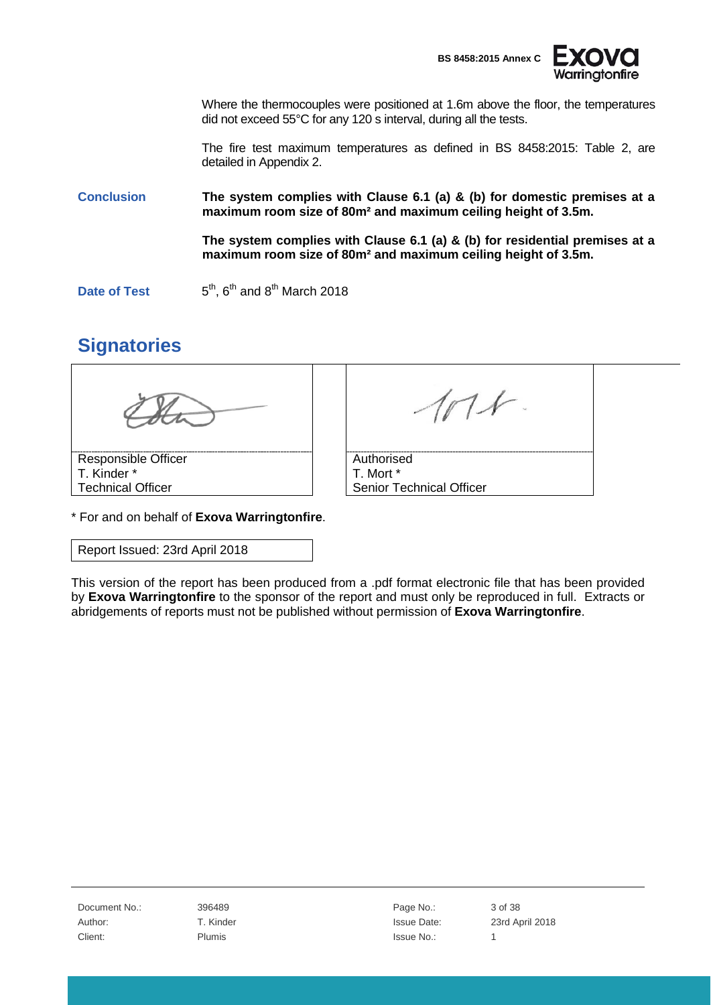



Where the thermocouples were positioned at 1.6m above the floor, the temperatures did not exceed 55°C for any 120 s interval, during all the tests.

The fire test maximum temperatures as defined in BS 8458:2015: Table 2, are detailed in Appendix 2.

**Conclusion The system complies with Clause 6.1 (a) & (b) for domestic premises at a maximum room size of 80m² and maximum ceiling height of 3.5m.**

> **The system complies with Clause 6.1 (a) & (b) for residential premises at a maximum room size of 80m² and maximum ceiling height of 3.5m.**

**Date of Test**  $5<sup>th</sup>$ ,  $6<sup>th</sup>$  and  $8<sup>th</sup>$  March 2018

## <span id="page-2-0"></span>**Signatories**

| Responsible Officer      | Authorised               |  |
|--------------------------|--------------------------|--|
| T. Kinder *              | T. Mort *                |  |
| <b>Technical Officer</b> | Senior Technical Officer |  |

\* For and on behalf of **Exova Warringtonfire**.

Report Issued: 23rd April 2018

This version of the report has been produced from a .pdf format electronic file that has been provided by **Exova Warringtonfire** to the sponsor of the report and must only be reproduced in full. Extracts or abridgements of reports must not be published without permission of **Exova Warringtonfire**.

Document No.: 396489 **Page No.:** 3 of 38 Client: The Plumis Client: 1 Plumis 2012 1 Plumis 2013 1 Plumis 2014 1 Plumis 2014 1 Plumis 2014 1 Plumis 2014

Author: T. Kinder T. Communication Control and T. Kinder Issue Date: 23rd April 2018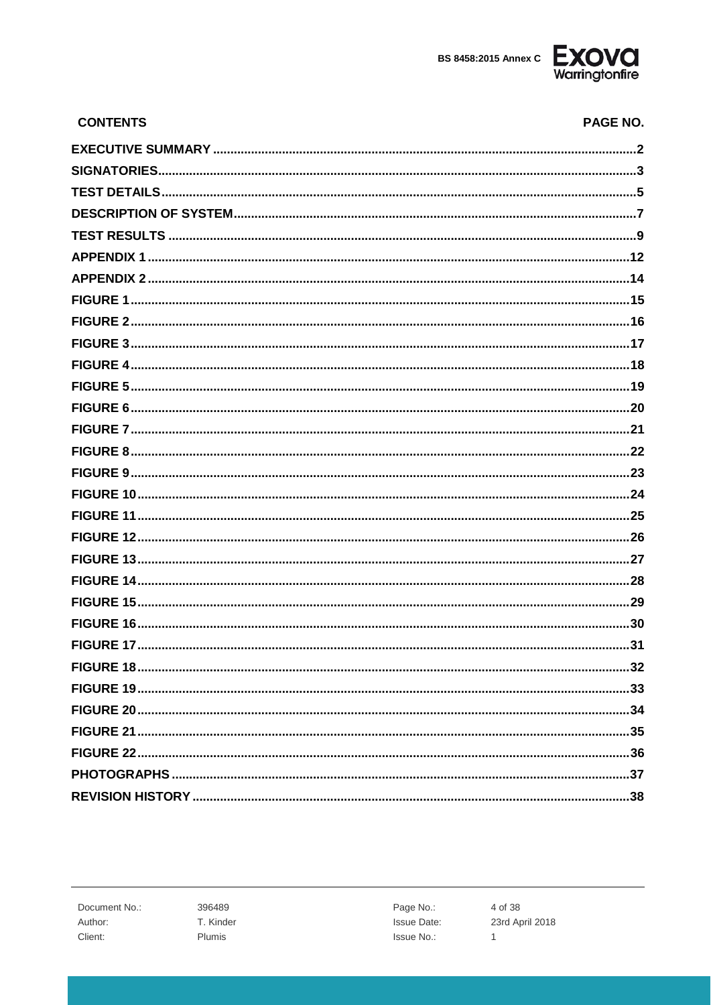

| <b>CONTENTS</b> | <b>PAGE NO.</b> |
|-----------------|-----------------|
|                 |                 |
|                 |                 |
|                 |                 |
|                 |                 |
|                 |                 |
|                 |                 |
|                 |                 |
|                 |                 |
|                 |                 |
|                 |                 |
|                 |                 |
|                 |                 |
|                 |                 |
|                 |                 |
|                 |                 |
|                 |                 |
|                 |                 |
|                 |                 |
|                 |                 |
|                 |                 |
|                 |                 |
|                 |                 |
|                 |                 |
|                 |                 |
|                 |                 |
|                 |                 |
|                 |                 |
|                 |                 |
|                 |                 |
|                 |                 |
|                 |                 |

Document No.: Author: Client:

396489 T. Kinder Plumis

Page No.: **Issue Date:** Issue No.:

4 of 38 23rd April 2018  $\mathbf{1}$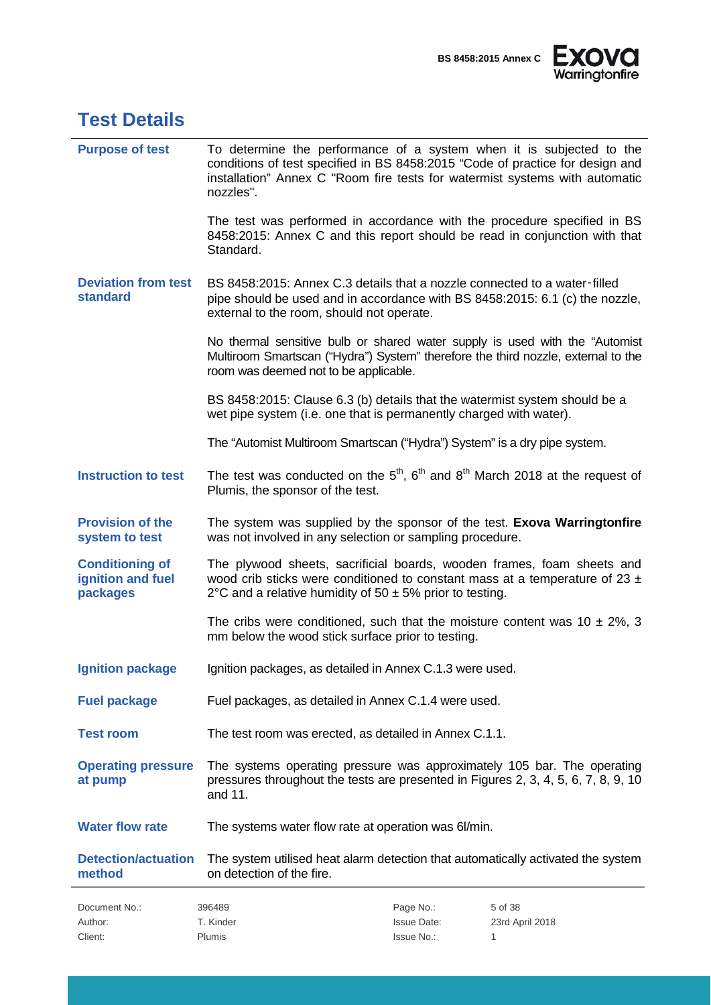

<span id="page-4-0"></span>

| <b>Test Details</b>                                     |                                                                                                                                                                                                                                                   |                                                                                                                                      |                 |  |  |  |
|---------------------------------------------------------|---------------------------------------------------------------------------------------------------------------------------------------------------------------------------------------------------------------------------------------------------|--------------------------------------------------------------------------------------------------------------------------------------|-----------------|--|--|--|
| <b>Purpose of test</b>                                  | To determine the performance of a system when it is subjected to the<br>conditions of test specified in BS 8458:2015 "Code of practice for design and<br>installation" Annex C "Room fire tests for watermist systems with automatic<br>nozzles". |                                                                                                                                      |                 |  |  |  |
|                                                         | The test was performed in accordance with the procedure specified in BS<br>8458:2015: Annex C and this report should be read in conjunction with that<br>Standard.                                                                                |                                                                                                                                      |                 |  |  |  |
| <b>Deviation from test</b><br><b>standard</b>           | BS 8458:2015: Annex C.3 details that a nozzle connected to a water-filled<br>pipe should be used and in accordance with BS 8458:2015: 6.1 (c) the nozzle,<br>external to the room, should not operate.                                            |                                                                                                                                      |                 |  |  |  |
|                                                         | No thermal sensitive bulb or shared water supply is used with the "Automist"<br>Multiroom Smartscan ("Hydra") System" therefore the third nozzle, external to the<br>room was deemed not to be applicable.                                        |                                                                                                                                      |                 |  |  |  |
|                                                         | BS 8458:2015: Clause 6.3 (b) details that the watermist system should be a<br>wet pipe system (i.e. one that is permanently charged with water).                                                                                                  |                                                                                                                                      |                 |  |  |  |
|                                                         | The "Automist Multiroom Smartscan ("Hydra") System" is a dry pipe system.                                                                                                                                                                         |                                                                                                                                      |                 |  |  |  |
| <b>Instruction to test</b>                              | The test was conducted on the $5th$ , $6th$ and $8th$ March 2018 at the request of<br>Plumis, the sponsor of the test.                                                                                                                            |                                                                                                                                      |                 |  |  |  |
| <b>Provision of the</b><br>system to test               |                                                                                                                                                                                                                                                   | The system was supplied by the sponsor of the test. Exova Warringtonfire<br>was not involved in any selection or sampling procedure. |                 |  |  |  |
| <b>Conditioning of</b><br>ignition and fuel<br>packages | The plywood sheets, sacrificial boards, wooden frames, foam sheets and<br>wood crib sticks were conditioned to constant mass at a temperature of 23 $\pm$<br>2°C and a relative humidity of 50 $\pm$ 5% prior to testing.                         |                                                                                                                                      |                 |  |  |  |
|                                                         | The cribs were conditioned, such that the moisture content was $10 \pm 2\%$ , 3<br>mm below the wood stick surface prior to testing.                                                                                                              |                                                                                                                                      |                 |  |  |  |
| <b>Ignition package</b>                                 | Ignition packages, as detailed in Annex C.1.3 were used.                                                                                                                                                                                          |                                                                                                                                      |                 |  |  |  |
| <b>Fuel package</b>                                     | Fuel packages, as detailed in Annex C.1.4 were used.                                                                                                                                                                                              |                                                                                                                                      |                 |  |  |  |
| <b>Test room</b>                                        | The test room was erected, as detailed in Annex C.1.1.                                                                                                                                                                                            |                                                                                                                                      |                 |  |  |  |
| <b>Operating pressure</b><br>at pump                    | The systems operating pressure was approximately 105 bar. The operating<br>pressures throughout the tests are presented in Figures 2, 3, 4, 5, 6, 7, 8, 9, 10<br>and 11.                                                                          |                                                                                                                                      |                 |  |  |  |
| <b>Water flow rate</b>                                  | The systems water flow rate at operation was 6/min.                                                                                                                                                                                               |                                                                                                                                      |                 |  |  |  |
| <b>Detection/actuation</b><br>method                    | The system utilised heat alarm detection that automatically activated the system<br>on detection of the fire.                                                                                                                                     |                                                                                                                                      |                 |  |  |  |
| Document No.:                                           | 396489                                                                                                                                                                                                                                            | Page No.:                                                                                                                            | 5 of 38         |  |  |  |
| Author:                                                 | T. Kinder                                                                                                                                                                                                                                         | <b>Issue Date:</b>                                                                                                                   | 23rd April 2018 |  |  |  |
| Client:                                                 | Plumis                                                                                                                                                                                                                                            | Issue No.:                                                                                                                           | 1               |  |  |  |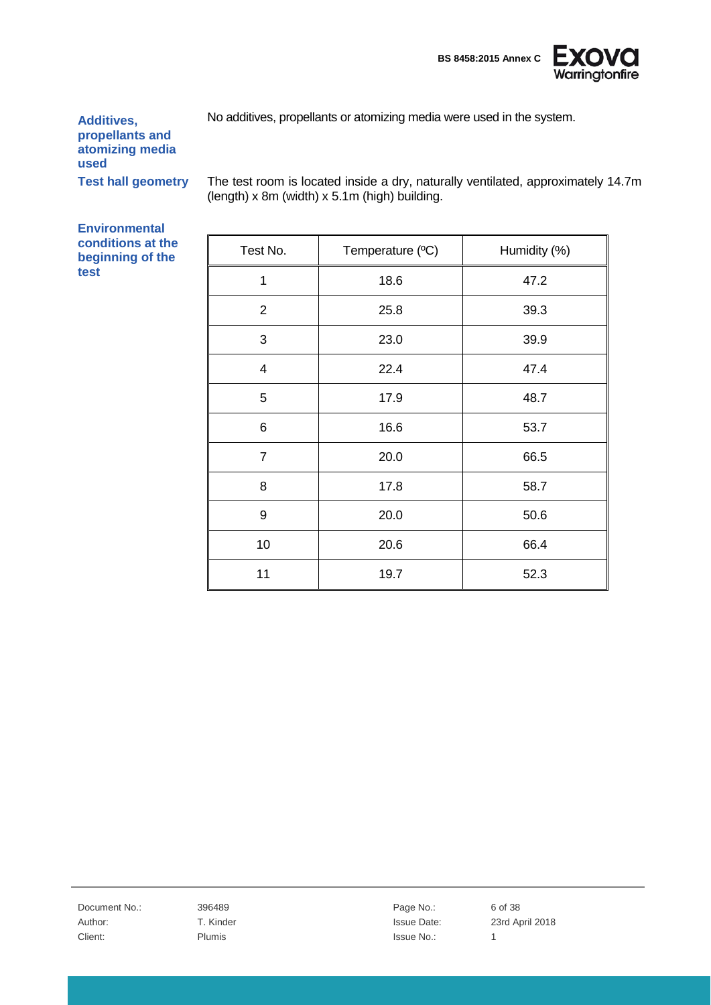

No additives, propellants or atomizing media were used in the system.

**Additives, propellants and atomizing media used**

**Test hall geometry** The test room is located inside a dry, naturally ventilated, approximately 14.7m (length) x 8m (width) x 5.1m (high) building.

**Environmental conditions at the beginning of the test**

| Test No.                | Temperature (°C) | Humidity (%) |
|-------------------------|------------------|--------------|
| 1                       | 18.6             | 47.2         |
| $\overline{2}$          | 25.8             | 39.3         |
| 3                       | 23.0             | 39.9         |
| $\overline{\mathbf{4}}$ | 22.4             | 47.4         |
| 5                       | 17.9             | 48.7         |
| 6                       | 16.6             | 53.7         |
| $\overline{7}$          | 20.0             | 66.5         |
| 8                       | 17.8             | 58.7         |
| 9                       | 20.0             | 50.6         |
| 10                      | 20.6             | 66.4         |
| 11                      | 19.7             | 52.3         |

Document No.: 396489 396489 Page No.: 6 of 38 Client: The Plumis Client: 1 Plumis 2012 1 Plumis 2013 1 Plumis 2014 1 Plumis 2014 1 Plumis 2014 1 Plumis 2014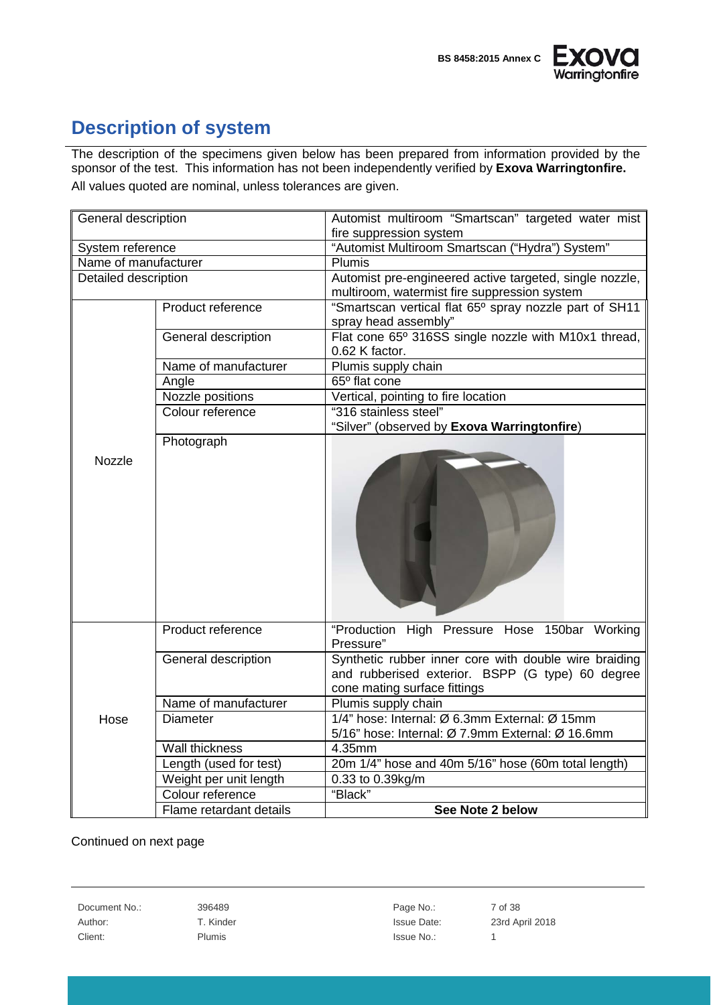



## <span id="page-6-0"></span>**Description of system**

The description of the specimens given below has been prepared from information provided by the sponsor of the test. This information has not been independently verified by **Exova Warringtonfire.** All values quoted are nominal, unless tolerances are given.

| General description                      |                         | Automist multiroom "Smartscan" targeted water mist                                                                                        |  |  |  |  |
|------------------------------------------|-------------------------|-------------------------------------------------------------------------------------------------------------------------------------------|--|--|--|--|
|                                          |                         | fire suppression system<br>"Automist Multiroom Smartscan ("Hydra") System"                                                                |  |  |  |  |
| System reference<br>Name of manufacturer |                         | Plumis                                                                                                                                    |  |  |  |  |
|                                          |                         |                                                                                                                                           |  |  |  |  |
| Detailed description                     |                         | Automist pre-engineered active targeted, single nozzle,                                                                                   |  |  |  |  |
|                                          | Product reference       | multiroom, watermist fire suppression system<br>"Smartscan vertical flat 65° spray nozzle part of SH11                                    |  |  |  |  |
|                                          |                         | spray head assembly"                                                                                                                      |  |  |  |  |
|                                          | General description     | Flat cone 65° 316SS single nozzle with M10x1 thread,                                                                                      |  |  |  |  |
|                                          |                         | 0.62 K factor.                                                                                                                            |  |  |  |  |
|                                          | Name of manufacturer    | Plumis supply chain                                                                                                                       |  |  |  |  |
|                                          | Angle                   | 65° flat cone                                                                                                                             |  |  |  |  |
|                                          | Nozzle positions        | Vertical, pointing to fire location                                                                                                       |  |  |  |  |
|                                          | Colour reference        | "316 stainless steel"                                                                                                                     |  |  |  |  |
|                                          |                         | "Silver" (observed by Exova Warringtonfire)                                                                                               |  |  |  |  |
|                                          | Photograph              |                                                                                                                                           |  |  |  |  |
| Nozzle                                   |                         |                                                                                                                                           |  |  |  |  |
|                                          | Product reference       | "Production High Pressure Hose 150bar Working<br>Pressure"                                                                                |  |  |  |  |
|                                          | General description     | Synthetic rubber inner core with double wire braiding<br>and rubberised exterior. BSPP (G type) 60 degree<br>cone mating surface fittings |  |  |  |  |
|                                          | Name of manufacturer    | Plumis supply chain                                                                                                                       |  |  |  |  |
| Hose                                     | <b>Diameter</b>         | 1/4" hose: Internal: Ø 6.3mm External: Ø 15mm                                                                                             |  |  |  |  |
|                                          |                         | 5/16" hose: Internal: Ø 7.9mm External: Ø 16.6mm                                                                                          |  |  |  |  |
|                                          | Wall thickness          | 4.35mm                                                                                                                                    |  |  |  |  |
|                                          | Length (used for test)  | 20m 1/4" hose and 40m 5/16" hose (60m total length)                                                                                       |  |  |  |  |
|                                          | Weight per unit length  | 0.33 to 0.39kg/m                                                                                                                          |  |  |  |  |
|                                          | Colour reference        | "Black"                                                                                                                                   |  |  |  |  |
|                                          | Flame retardant details | See Note 2 below                                                                                                                          |  |  |  |  |

#### Continued on next page

Document No.: 396489 396489 Page No.: 7 of 38 Client: The Plumis Client: 1 Plumis 2012 1 Plumis 2013 1 Plumis 2014 1 Plumis 2014 1 Plumis 2014 1 Plumis 2014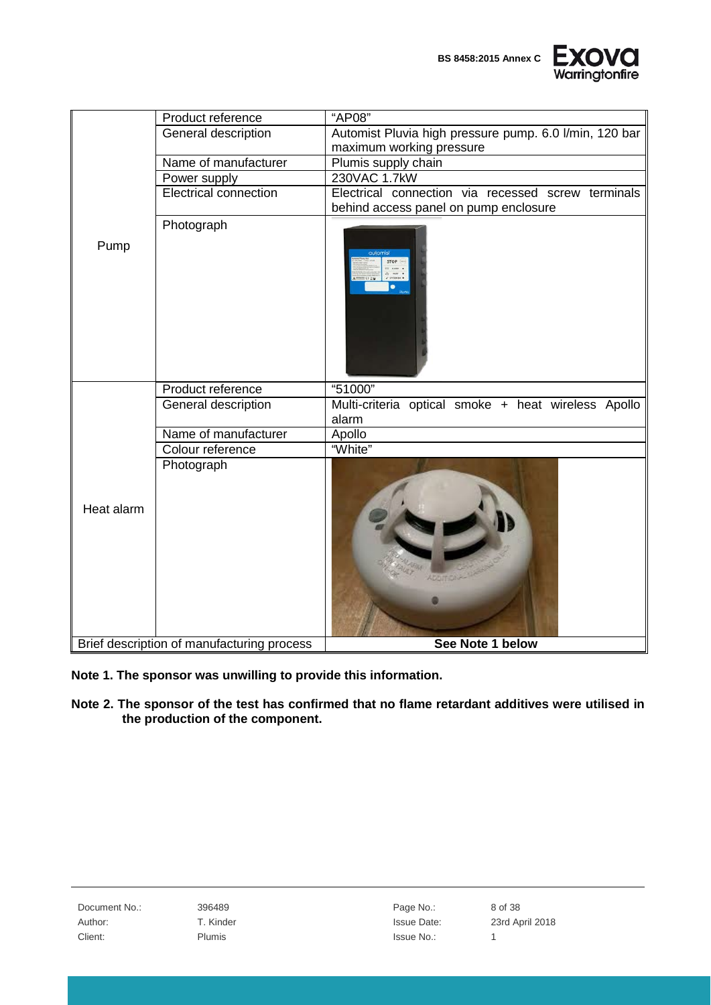

|            | Product reference                          | "AP08"                                                       |
|------------|--------------------------------------------|--------------------------------------------------------------|
|            | General description                        | Automist Pluvia high pressure pump. 6.0 l/min, 120 bar       |
|            |                                            | maximum working pressure                                     |
|            | Name of manufacturer                       | Plumis supply chain                                          |
|            | Power supply                               | 230VAC 1.7kW                                                 |
|            | <b>Electrical connection</b>               | Electrical connection via recessed screw terminals           |
|            |                                            | behind access panel on pump enclosure                        |
| Pump       | Photograph                                 | $\bullet$                                                    |
|            | Product reference                          | "51000"                                                      |
|            | General description                        | Multi-criteria optical smoke + heat wireless Apollo<br>alarm |
|            | Name of manufacturer                       | Apollo                                                       |
|            | Colour reference                           | "White"                                                      |
| Heat alarm | Photograph                                 |                                                              |
|            | Brief description of manufacturing process | See Note 1 below                                             |

- **Note 1. The sponsor was unwilling to provide this information.**
- **Note 2. The sponsor of the test has confirmed that no flame retardant additives were utilised in the production of the component.**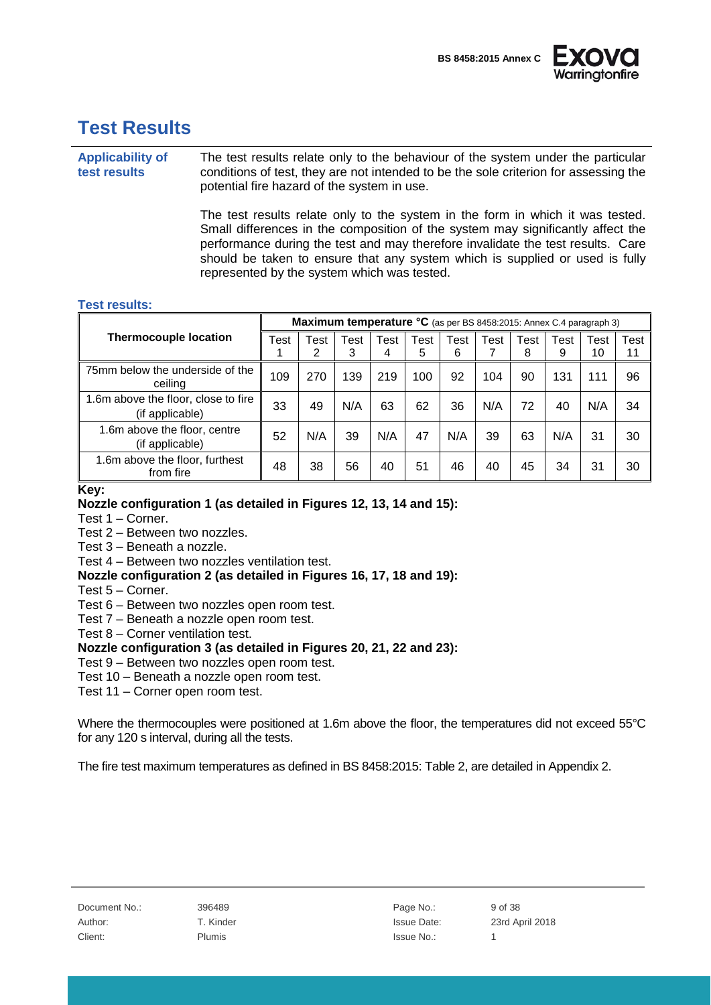



## <span id="page-8-0"></span>**Test Results**

**Applicability of test results** The test results relate only to the behaviour of the system under the particular conditions of test, they are not intended to be the sole criterion for assessing the potential fire hazard of the system in use.

> The test results relate only to the system in the form in which it was tested. Small differences in the composition of the system may significantly affect the performance during the test and may therefore invalidate the test results. Care should be taken to ensure that any system which is supplied or used is fully represented by the system which was tested.

#### **Test results:**

|                                                       |      | Maximum temperature °C (as per BS 8458:2015: Annex C.4 paragraph 3) |           |           |           |           |      |           |           |            |            |
|-------------------------------------------------------|------|---------------------------------------------------------------------|-----------|-----------|-----------|-----------|------|-----------|-----------|------------|------------|
| <b>Thermocouple location</b>                          | Test | Test<br>2                                                           | Test<br>3 | Test<br>4 | Test<br>5 | Test<br>6 | Test | Test<br>8 | Test<br>9 | Test<br>10 | Test<br>11 |
| 75mm below the underside of the<br>ceiling            | 109  | 270                                                                 | 139       | 219       | 100       | 92        | 104  | 90        | 131       | 111        | 96         |
| .6m above the floor, close to fire<br>(if applicable) | 33   | 49                                                                  | N/A       | 63        | 62        | 36        | N/A  | 72        | 40        | N/A        | 34         |
| 1.6m above the floor, centre<br>(if applicable)       | 52   | N/A                                                                 | 39        | N/A       | 47        | N/A       | 39   | 63        | N/A       | 31         | 30         |
| 1.6m above the floor, furthest<br>from fire           | 48   | 38                                                                  | 56        | 40        | 51        | 46        | 40   | 45        | 34        | 31         | 30         |

#### **Key:**

#### **Nozzle configuration 1 (as detailed in Figures 12, 13, 14 and 15):**

Test 1 – Corner.

Test 2 – Between two nozzles.

Test 3 – Beneath a nozzle.

Test 4 – Between two nozzles ventilation test.

**Nozzle configuration 2 (as detailed in Figures 16, 17, 18 and 19):**

- Test 5 Corner.
- Test 6 Between two nozzles open room test.
- Test 7 Beneath a nozzle open room test.
- Test 8 Corner ventilation test.

#### **Nozzle configuration 3 (as detailed in Figures 20, 21, 22 and 23):**

Test 9 – Between two nozzles open room test.

Test 10 – Beneath a nozzle open room test.

Test 11 – Corner open room test.

Where the thermocouples were positioned at 1.6m above the floor, the temperatures did not exceed 55°C for any 120 s interval, during all the tests.

The fire test maximum temperatures as defined in BS 8458:2015: Table 2, are detailed in Appendix 2.

| Document No.: | 396489        | Page No.:   | 9 |
|---------------|---------------|-------------|---|
| Author:       | T. Kinder     | Issue Date: | ◠ |
| Client:       | <b>Plumis</b> | Issue No.:  |   |

396489 **Page No.:** 9 of 38

T. Kinder **Issue Date:** 23rd April 2018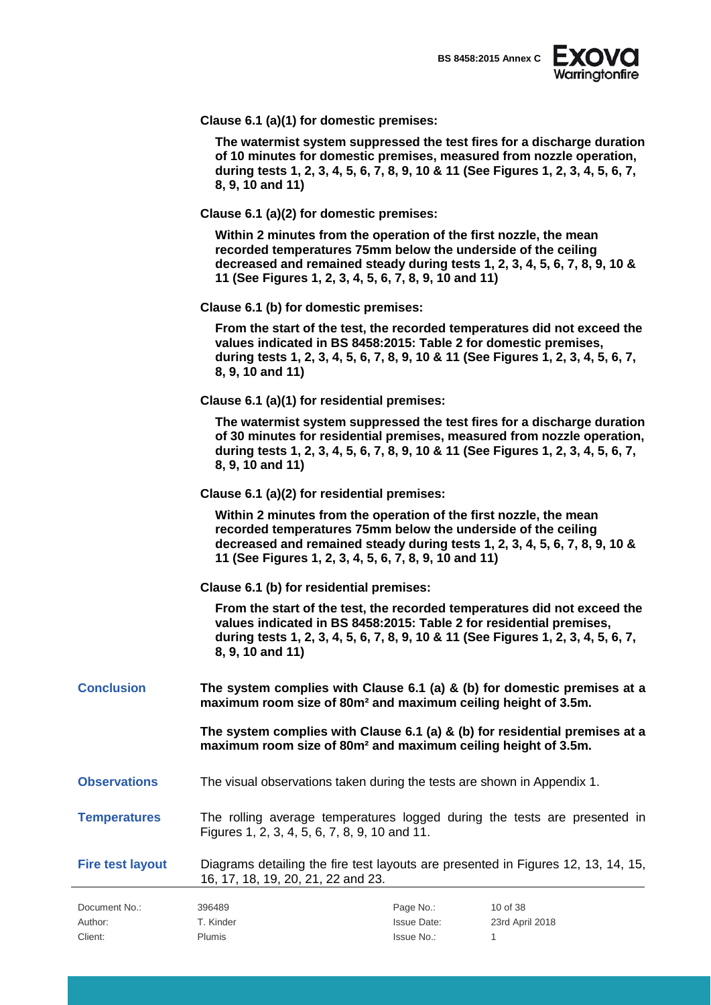

|  |  | Clause 6.1 (a)(1) for domestic premises: |
|--|--|------------------------------------------|
|--|--|------------------------------------------|

**The watermist system suppressed the test fires for a discharge duration of 10 minutes for domestic premises, measured from nozzle operation, during tests 1, 2, 3, 4, 5, 6, 7, 8, 9, 10 & 11 (See Figures 1, 2, 3, 4, 5, 6, 7, 8, 9, 10 and 11)**

**Clause 6.1 (a)(2) for domestic premises:**

**Within 2 minutes from the operation of the first nozzle, the mean recorded temperatures 75mm below the underside of the ceiling decreased and remained steady during tests 1, 2, 3, 4, 5, 6, 7, 8, 9, 10 & 11 (See Figures 1, 2, 3, 4, 5, 6, 7, 8, 9, 10 and 11)**

**Clause 6.1 (b) for domestic premises:**

**From the start of the test, the recorded temperatures did not exceed the values indicated in BS 8458:2015: Table 2 for domestic premises, during tests 1, 2, 3, 4, 5, 6, 7, 8, 9, 10 & 11 (See Figures 1, 2, 3, 4, 5, 6, 7, 8, 9, 10 and 11)**

**Clause 6.1 (a)(1) for residential premises:**

**The watermist system suppressed the test fires for a discharge duration of 30 minutes for residential premises, measured from nozzle operation, during tests 1, 2, 3, 4, 5, 6, 7, 8, 9, 10 & 11 (See Figures 1, 2, 3, 4, 5, 6, 7, 8, 9, 10 and 11)**

**Clause 6.1 (a)(2) for residential premises:**

**Within 2 minutes from the operation of the first nozzle, the mean recorded temperatures 75mm below the underside of the ceiling decreased and remained steady during tests 1, 2, 3, 4, 5, 6, 7, 8, 9, 10 & 11 (See Figures 1, 2, 3, 4, 5, 6, 7, 8, 9, 10 and 11)**

**Clause 6.1 (b) for residential premises:**

**From the start of the test, the recorded temperatures did not exceed the values indicated in BS 8458:2015: Table 2 for residential premises, during tests 1, 2, 3, 4, 5, 6, 7, 8, 9, 10 & 11 (See Figures 1, 2, 3, 4, 5, 6, 7, 8, 9, 10 and 11)**

**Conclusion The system complies with Clause 6.1 (a) & (b) for domestic premises at a maximum room size of 80m² and maximum ceiling height of 3.5m.**

> **The system complies with Clause 6.1 (a) & (b) for residential premises at a maximum room size of 80m² and maximum ceiling height of 3.5m.**

**Observations** The visual observations taken during the tests are shown in Appendix 1.

**Temperatures** The rolling average temperatures logged during the tests are presented in Figures 1, 2, 3, 4, 5, 6, 7, 8, 9, 10 and 11.

**Fire test layout** Diagrams detailing the fire test layouts are presented in Figures 12, 13, 14, 15, 16, 17, 18, 19, 20, 21, 22 and 23.

| Document No.: | 396489        | Page No.:          | 10 of 38        |
|---------------|---------------|--------------------|-----------------|
| Author:       | T. Kinder     | <b>Issue Date:</b> | 23rd April 2018 |
| Client:       | <b>Plumis</b> | Issue No.:         |                 |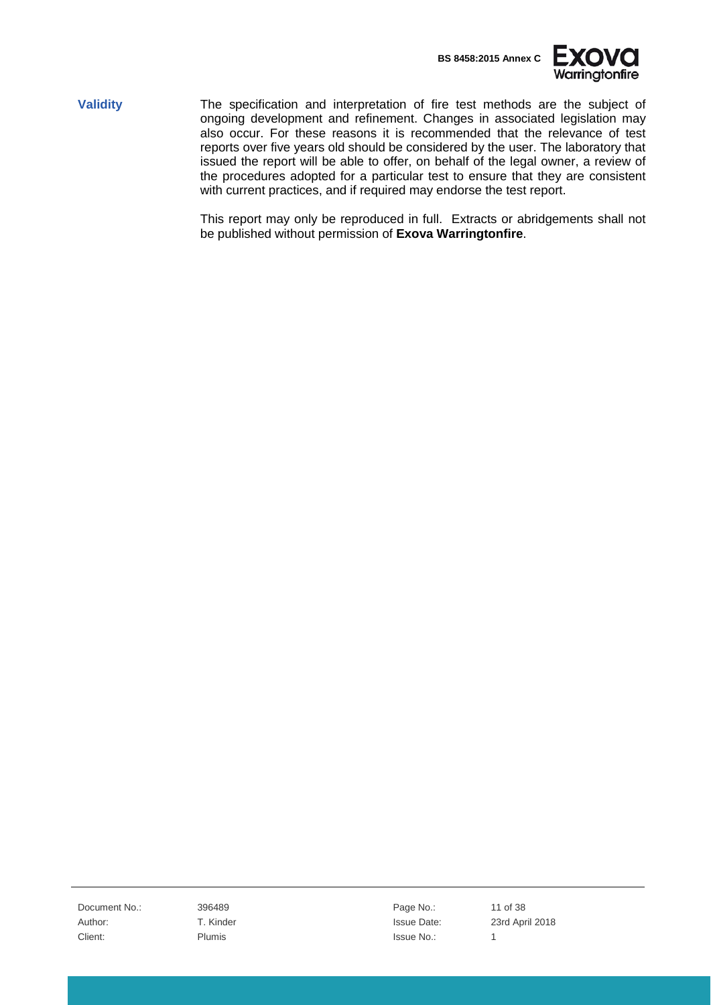

**Validity** The specification and interpretation of fire test methods are the subject of ongoing development and refinement. Changes in associated legislation may also occur. For these reasons it is recommended that the relevance of test reports over five years old should be considered by the user. The laboratory that issued the report will be able to offer, on behalf of the legal owner, a review of the procedures adopted for a particular test to ensure that they are consistent with current practices, and if required may endorse the test report.

> This report may only be reproduced in full. Extracts or abridgements shall not be published without permission of **Exova Warringtonfire**.

Document No.: 396489 **Page No.:** 11 of 38 Client: The Plumis Client: 1 Plumis 2012 1 Plumis 2013 1 Plumis 2014 1 Plumis 2014 1 Plumis 2014 1 Plumis 2014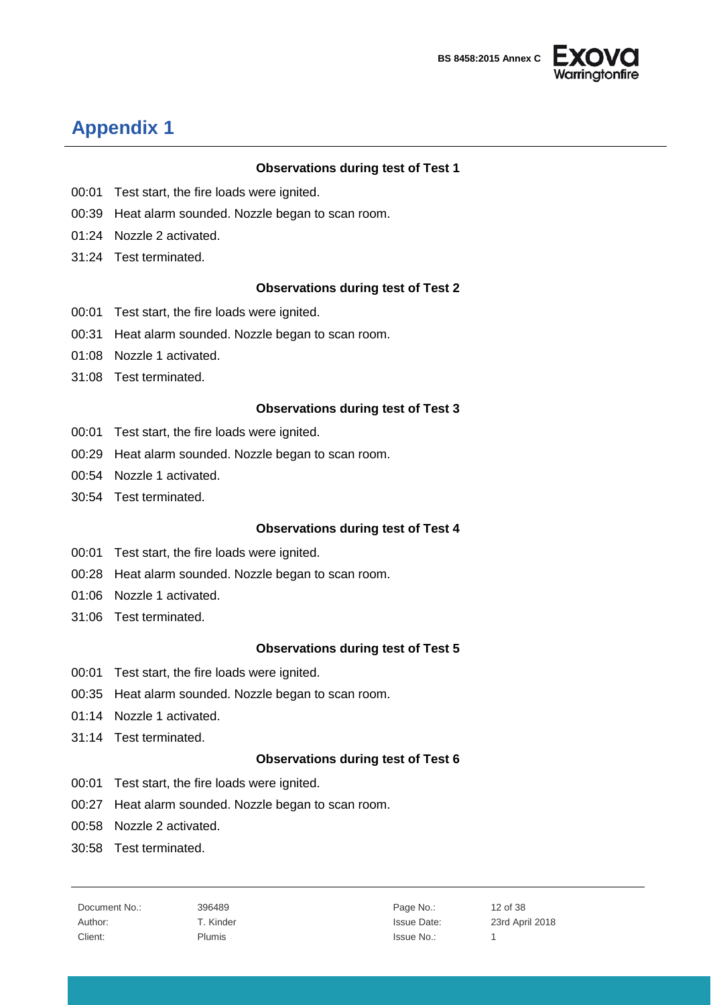



## <span id="page-11-0"></span>**Appendix 1**

#### **Observations during test of Test 1**

- 00:01 Test start, the fire loads were ignited.
- 00:39 Heat alarm sounded. Nozzle began to scan room.
- 01:24 Nozzle 2 activated.
- 31:24 Test terminated.

#### **Observations during test of Test 2**

- 00:01 Test start, the fire loads were ignited.
- 00:31 Heat alarm sounded. Nozzle began to scan room.
- 01:08 Nozzle 1 activated.
- 31:08 Test terminated.

#### **Observations during test of Test 3**

- 00:01 Test start, the fire loads were ignited.
- 00:29 Heat alarm sounded. Nozzle began to scan room.
- 00:54 Nozzle 1 activated.
- 30:54 Test terminated.

#### **Observations during test of Test 4**

- 00:01 Test start, the fire loads were ignited.
- 00:28 Heat alarm sounded. Nozzle began to scan room.
- 01:06 Nozzle 1 activated.
- 31:06 Test terminated.

#### **Observations during test of Test 5**

- 00:01 Test start, the fire loads were ignited.
- 00:35 Heat alarm sounded. Nozzle began to scan room.
- 01:14 Nozzle 1 activated.
- 31:14 Test terminated.

#### **Observations during test of Test 6**

- 00:01 Test start, the fire loads were ignited.
- 00:27 Heat alarm sounded. Nozzle began to scan room.
- 00:58 Nozzle 2 activated.
- 30:58 Test terminated.

Document No.: 396489 **Page No.:** 12 of 38 Client: The Plumis Client: 1 Plumis 2012 1 Plumis 2013 1 Plumis 2014 1 Plumis 2014 1 Plumis 2014 1 Plumis 2014

Author: T. Kinder T. Communication Control and T. Kinder Issue Date: 23rd April 2018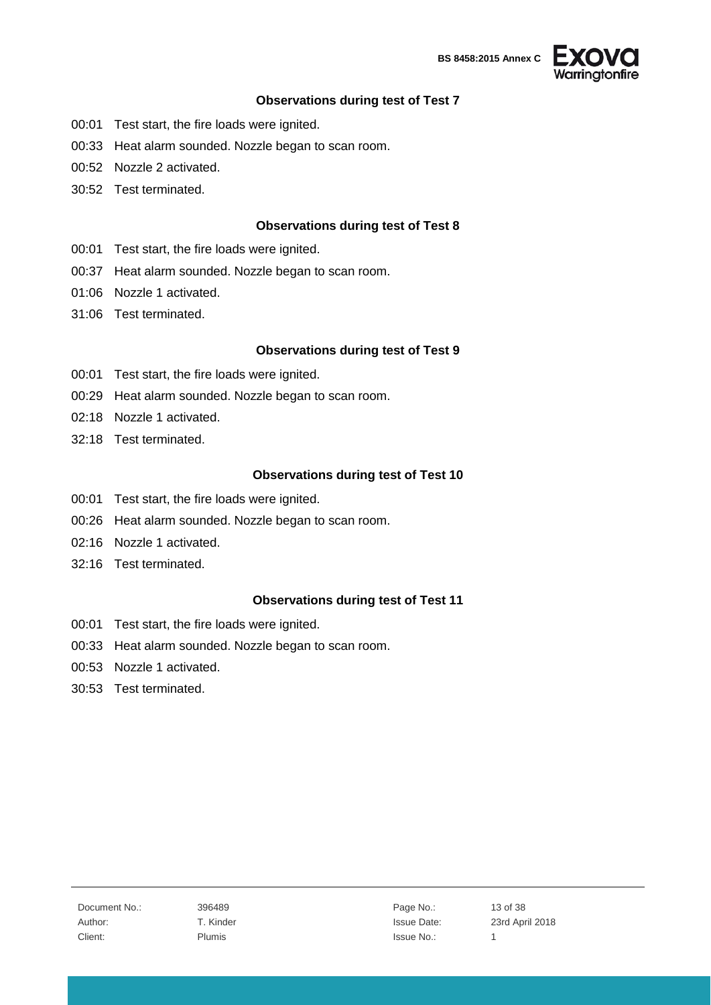

#### **Observations during test of Test 7**

- 00:01 Test start, the fire loads were ignited.
- 00:33 Heat alarm sounded. Nozzle began to scan room.
- 00:52 Nozzle 2 activated.
- 30:52 Test terminated.

#### **Observations during test of Test 8**

- 00:01 Test start, the fire loads were ignited.
- 00:37 Heat alarm sounded. Nozzle began to scan room.
- 01:06 Nozzle 1 activated.
- 31:06 Test terminated.

#### **Observations during test of Test 9**

- 00:01 Test start, the fire loads were ignited.
- 00:29 Heat alarm sounded. Nozzle began to scan room.
- 02:18 Nozzle 1 activated.
- 32:18 Test terminated.

#### **Observations during test of Test 10**

- 00:01 Test start, the fire loads were ignited.
- 00:26 Heat alarm sounded. Nozzle began to scan room.
- 02:16 Nozzle 1 activated.
- 32:16 Test terminated.

#### **Observations during test of Test 11**

- 00:01 Test start, the fire loads were ignited.
- 00:33 Heat alarm sounded. Nozzle began to scan room.
- 00:53 Nozzle 1 activated.
- 30:53 Test terminated.

Author: T. Kinder T. Communication Control and T. Kinder Issue Date: 23rd April 2018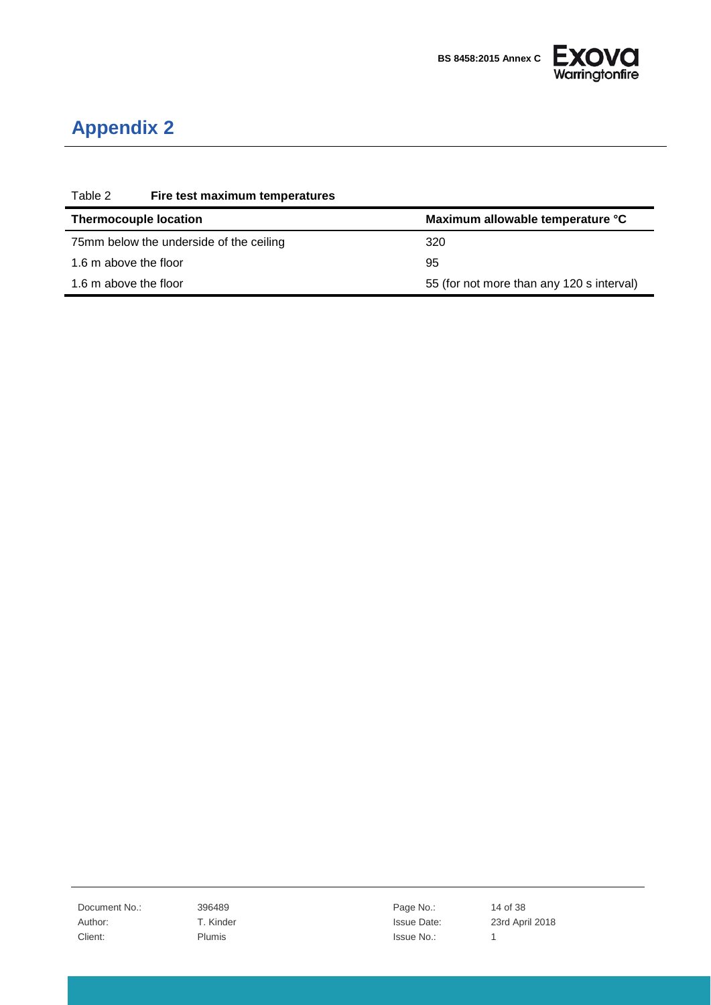

## <span id="page-13-0"></span>**Appendix 2**

| Table 2                                 | Fire test maximum temperatures |                                           |
|-----------------------------------------|--------------------------------|-------------------------------------------|
| <b>Thermocouple location</b>            |                                | Maximum allowable temperature °C          |
| 75mm below the underside of the ceiling |                                | 320                                       |
| 1.6 m above the floor                   |                                | 95                                        |
| 1.6 m above the floor                   |                                | 55 (for not more than any 120 s interval) |

Document No.: 396489 396489 Page No.: 14 of 38 Client: Plumis Plumis and Plumis and Plumis and Plumis and Plumis and Plumis and Plumis and Plumis and Plumis 1

Author: T. Kinder T. Kinder Issue Date: 23rd April 2018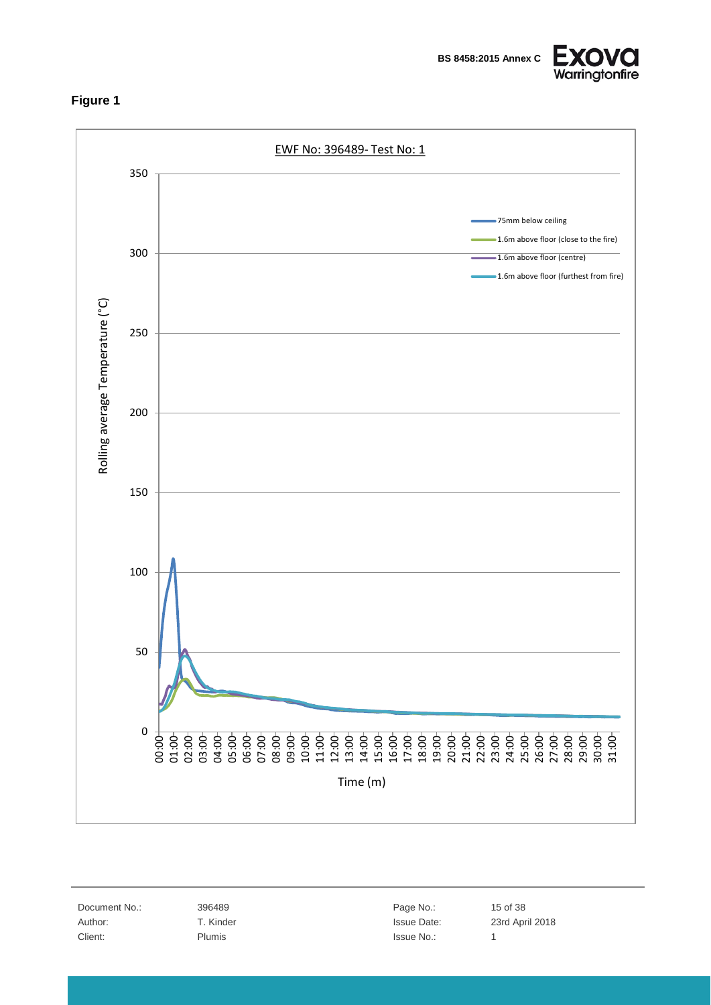<span id="page-14-0"></span>

**EXOV** Warringtonfire



Time (m)

Document No.: 396489 Page No.: 15 of 38 Client: Plumis Plumis and Plumis and Plumis and Plumis and Plumis and Plumis and Plumis and Plumis and Plumis 1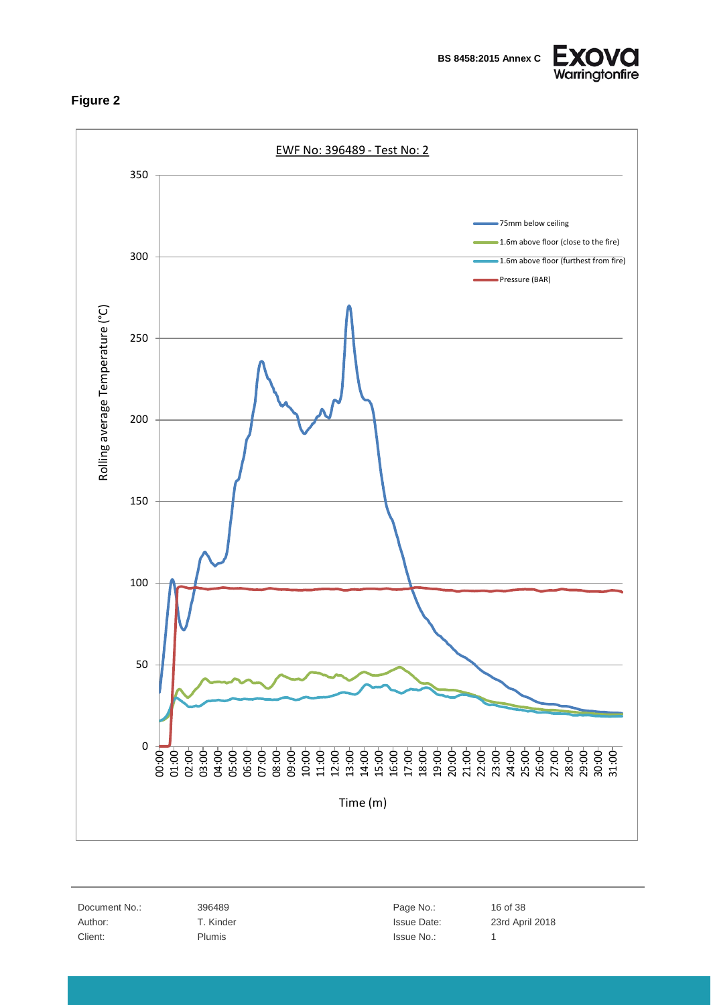<span id="page-15-0"></span>

**BS 8458:2015 Annex C**





Document No.: 396489 396489 Page No.: 16 of 38 Client: Plumis Plumis and Plumis and Plumis and Plumis and Plumis and Plumis and Plumis and Plumis and Plumis 1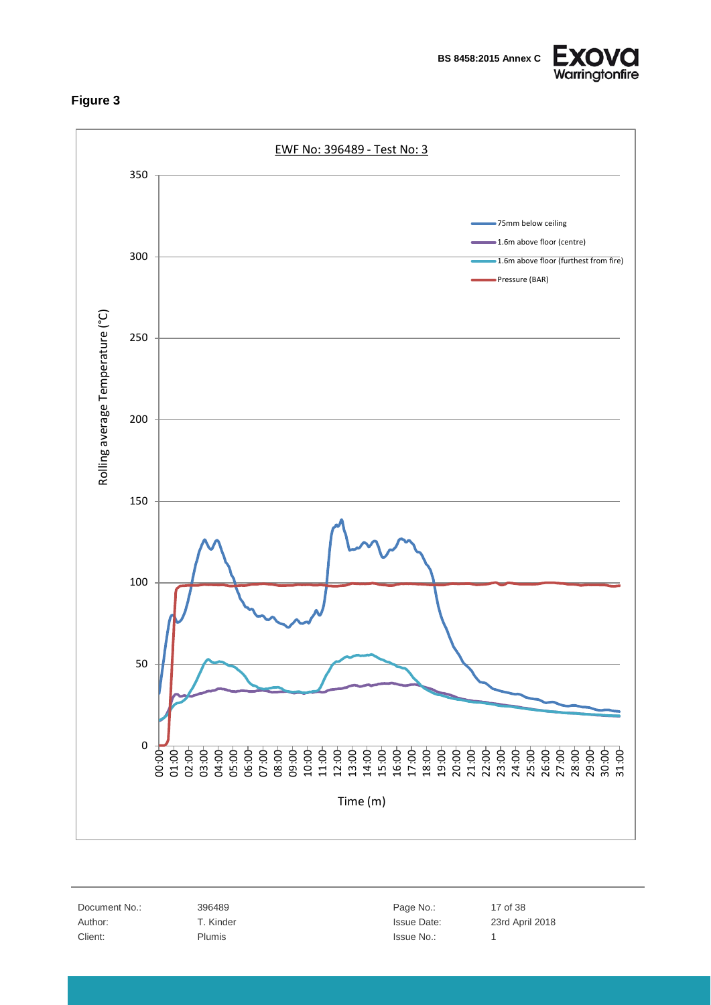<span id="page-16-0"></span>



Document No.: 396489 396489 Page No.: 17 of 38 Client: Plumis Plumis and Plumis and Plumis and Plumis and Plumis and Plumis and Plumis and Plumis and Plumis 1

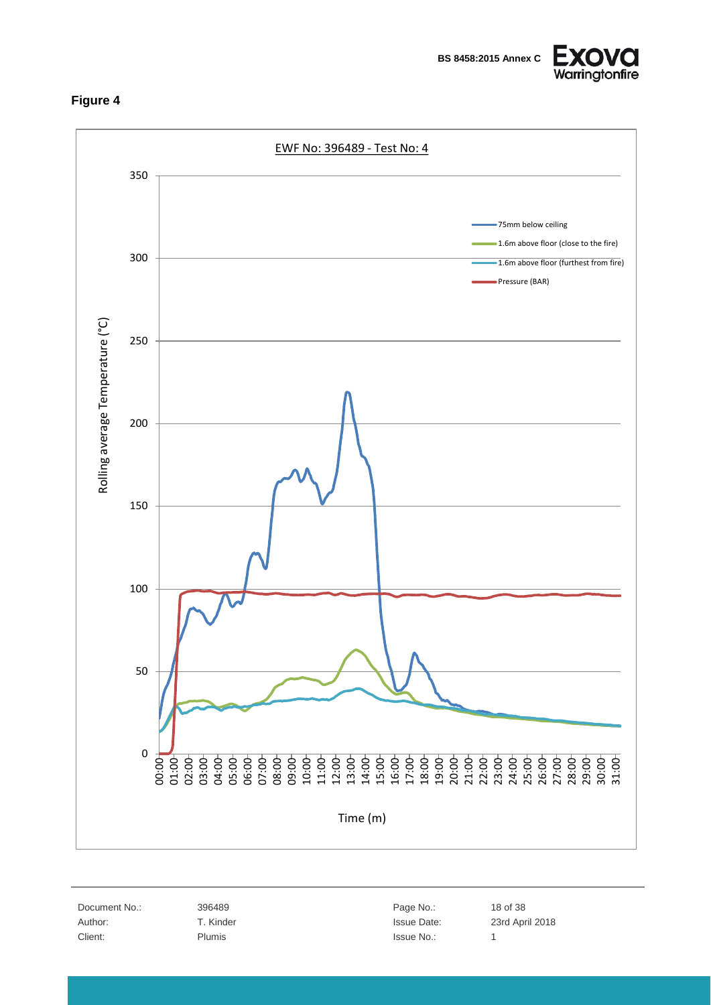<span id="page-17-0"></span>





Document No.: 396489 396489 Page No.: 18 of 38 Client: Plumis Plumis and Plumis and Plumis and Plumis and Plumis and Plumis and Plumis and Plumis and Plumis 1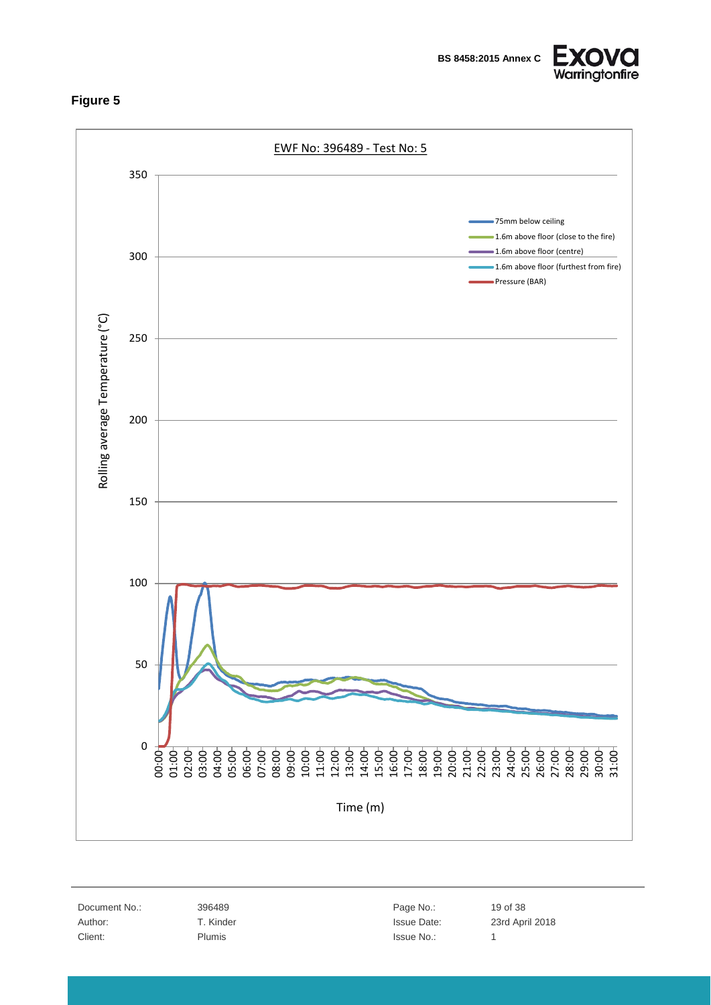

<span id="page-18-0"></span>

Document No.: 396489 Page No.: 19 of 38 Client: Plumis Plumis and Plumis and Plumis and Plumis and Plumis and Plumis and Plumis and Plumis and Plumis 1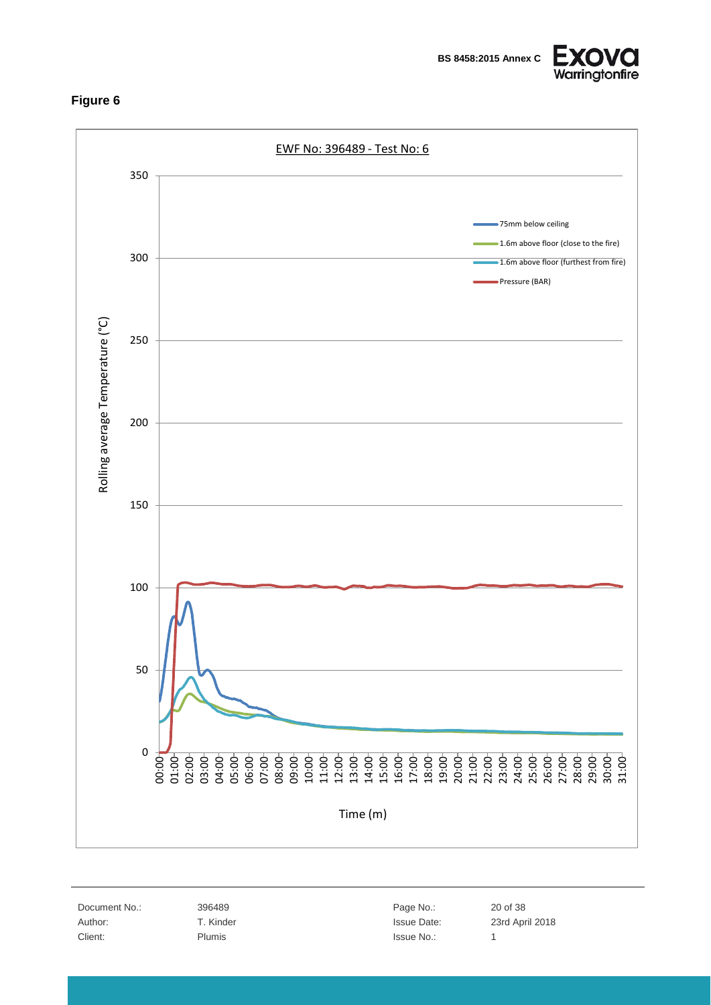**BS 8458:2015 Annex C**



<span id="page-19-0"></span>EWF No: 396489 - Test No: 6 350 75mm below ceiling 1.6m above floor (close to the fire) 300 1.6m above floor (furthest from fire) Pressure (BAR) Rolling average Temperature (°C) Rolling average Temperature (°C) 250 200 150 100 50 0 00:00 01:00 02:00 03:00 04:00 05:00 06:00 07:00 08:00 09:00 10:00 11:00 12:00 13:00 14:00 15:00 16:00 17:00 18:00 19:00 20:00 21:00 22:00 23:00 24:00 25:00 26:00 27:00 28:00 29:00 30:00 31:00 Time (m)

Document No.: 396489 20 of 38 Client: Plumis Plumis and Plumis and Plumis and Plumis and Plumis and Plumis and Plumis and Plumis and Plumis 1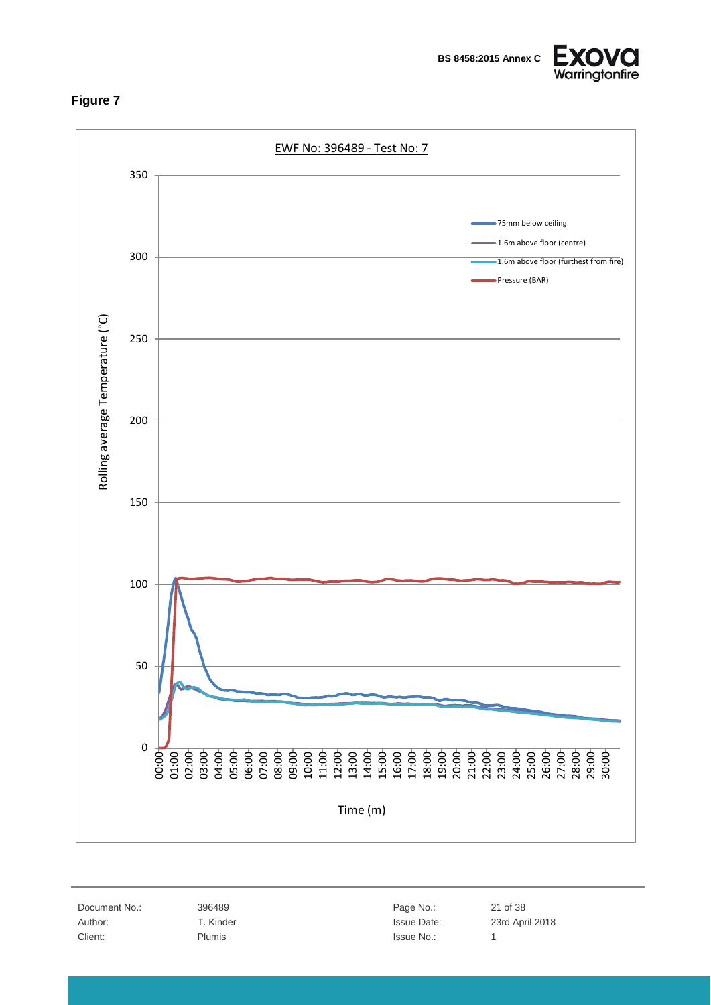<span id="page-20-0"></span>



EWF No: 396489 - Test No: 7 350 75mm below ceiling 1.6m above floor (centre) 300 1.6m above floor (furthest from fire) Pressure (BAR) Rolling average Temperature (°C) Rolling average Temperature (°C) 250 200 150 100 50 0 8 8 8 8 8 8 8 8 8 8 8 8 8 8 8 8 8 8 8<br>8 5 8 8 8 8 8 8 8 8 8 8 8 8 8 8 8 8 8<br>8 Time (m)

Document No.: 396489 21 of 38 Client: Plumis Plumis and Plumis and Plumis and Plumis and Plumis and Plumis and Plumis and Plumis and Plumis 1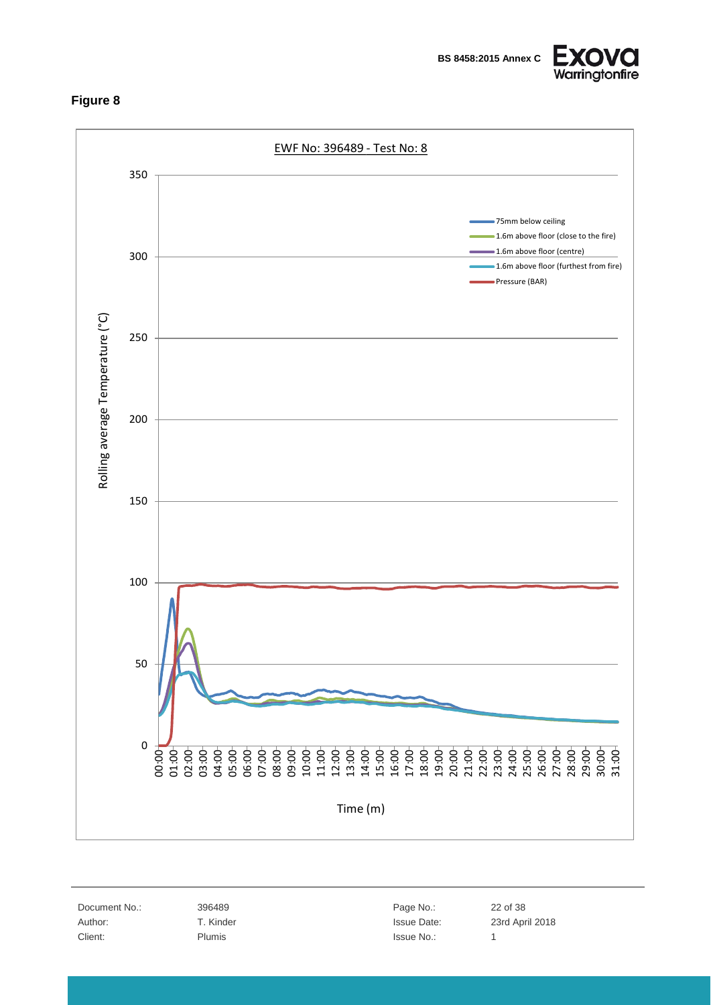

<span id="page-21-0"></span>

Document No.: 396489 22 of 38 Client: Plumis Plumis and Plumis and Plumis and Plumis and Plumis and Plumis and Plumis and Plumis and Plumis 1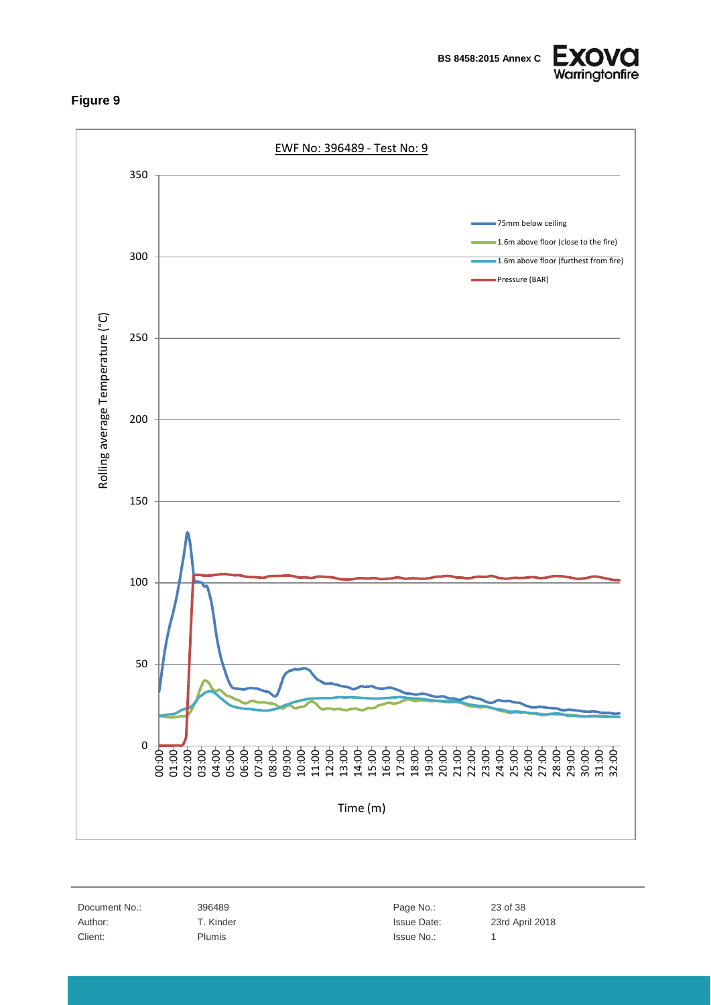

<span id="page-22-0"></span>

Document No.: 396489 396489 Page No.: 23 of 38 Client: Plumis Plumis and Plumis and Plumis and Plumis and Plumis and Plumis and Plumis and Plumis and Plumis 1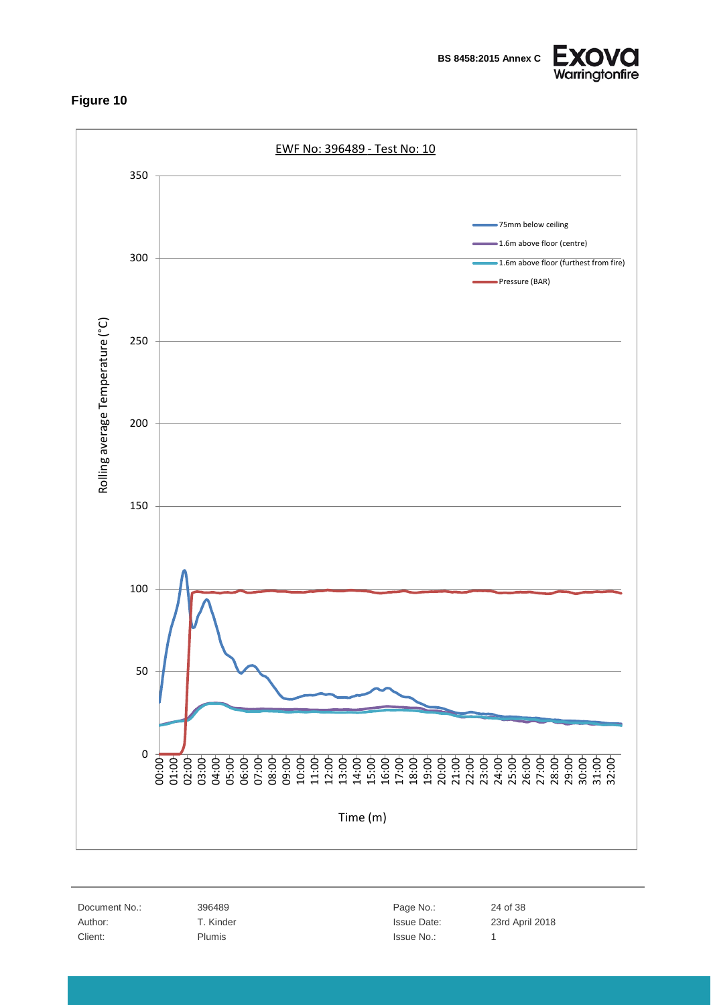

<span id="page-23-0"></span>

Document No.: 396489 396489 Page No.: 24 of 38 Client: Plumis Plumis and Plumis and Plumis and Plumis and Plumis and Plumis and Plumis and Plumis and Plumis 1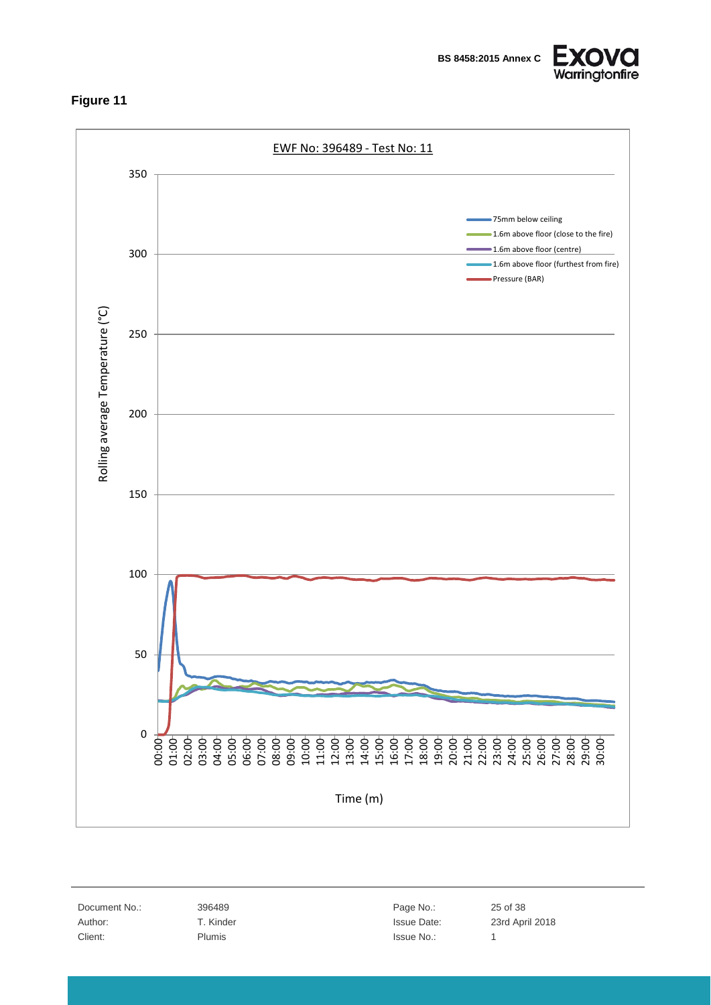

<span id="page-24-0"></span>

Document No.: 396489 25 of 38 Client: Plumis Plumis and Plumis and Plumis and Plumis and Plumis and Plumis and Plumis and Plumis and Plumis 1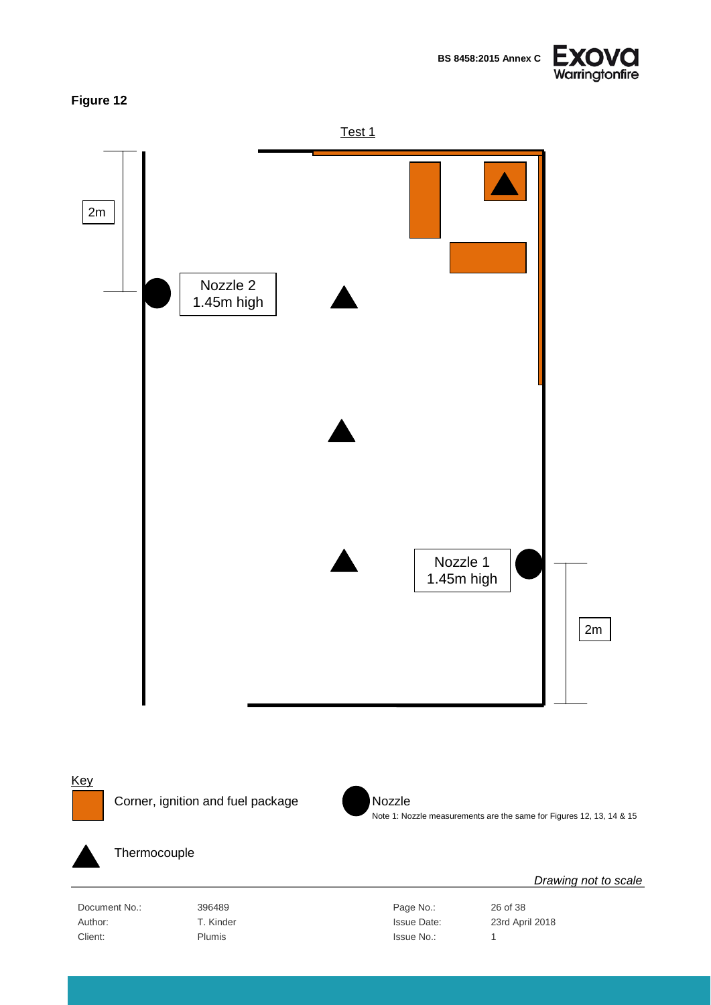**BS 8458:2015 Annex C**



### <span id="page-25-0"></span>**Figure 12**







### Thermocouple

Document No.: 396489 396489 Page No.: 26 of 38 Author: T. Kinder T. Kinder State Bate: 23rd April 2018 Client: Plumis Plumis and Plumis and Plumis and Plumis and Plumis and Plumis and Plumis and Plumis and Plumis 1

Note 1: Nozzle measurements are the same for Figures 12, 13, 14 & 15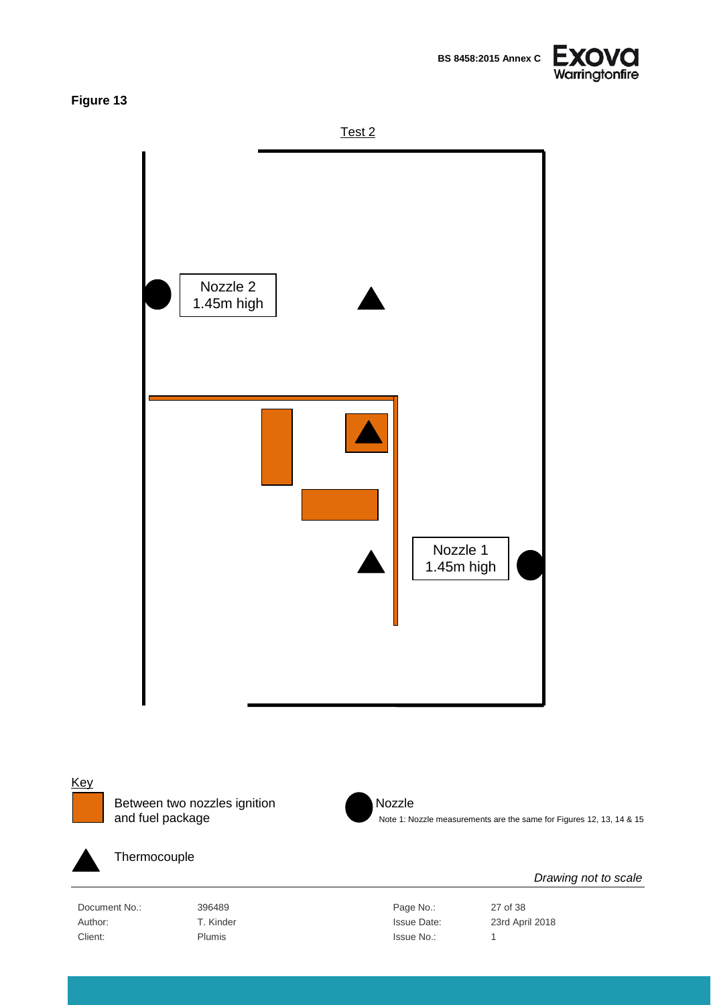

Test 2

<span id="page-26-0"></span>

## **Key**

Between two nozzles ignition Nozzle<br>and fuel package Note 1: Note 1: N



Note 1: Nozzle measurements are the same for Figures 12, 13, 14 & 15



#### Thermocouple

Document No.: 396489 396489 Page No.: 27 of 38 Author: T. Kinder Issue Date: 23rd April 2018 Client: Plumis Plumis and Plumis and Plumis and Plumis and Plumis and Plumis and Plumis and Plumis and Plumis 1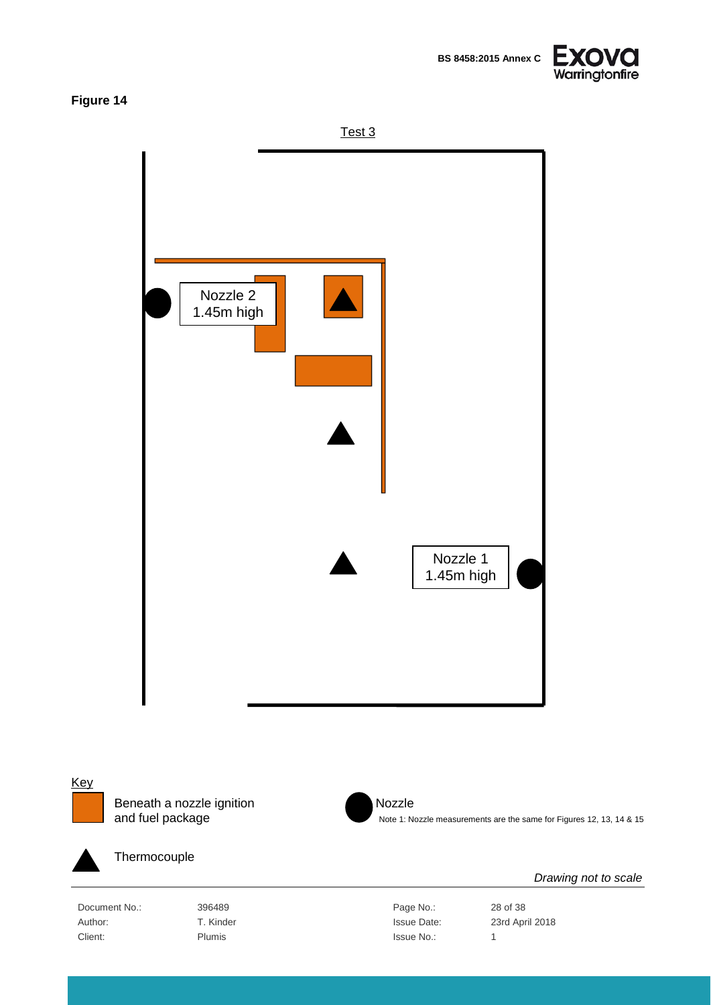

Test 3

<span id="page-27-0"></span>

**Key** 

Beneath a nozzle ignition Nozzle<br>and fuel package Note 1: Note 1: Note 1: Note 1: Note 1: Note 1: Note 1: Note 1: Note 1: Note 1: Note 1: Note 1: Note 1: Note 1: Note 1: Note 1: Note 1: Note 1: Note 1: Note 1: Note 1: Note



Note 1: Nozzle measurements are the same for Figures 12, 13, 14 & 15



#### Thermocouple

Document No.: 396489 386489 Page No.: 28 of 38 Author: T. Kinder Issue Date: 23rd April 2018 Client: Plumis Plumis and Plumis and Plumis and Plumis and Plumis and Plumis and Plumis and Plumis and Plumis 1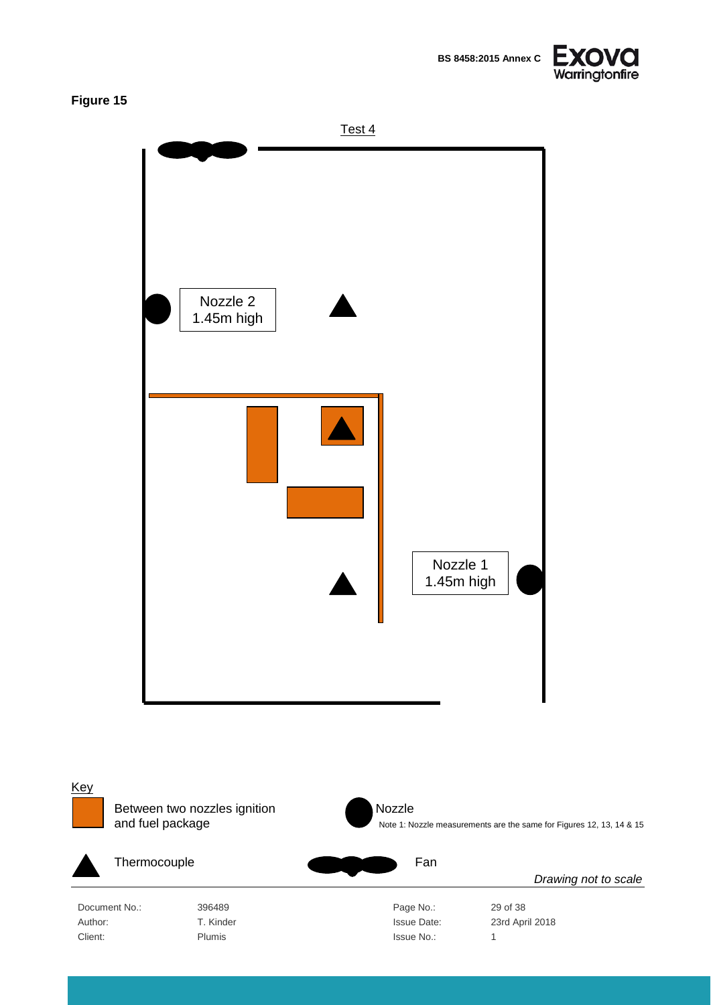

<span id="page-28-0"></span>

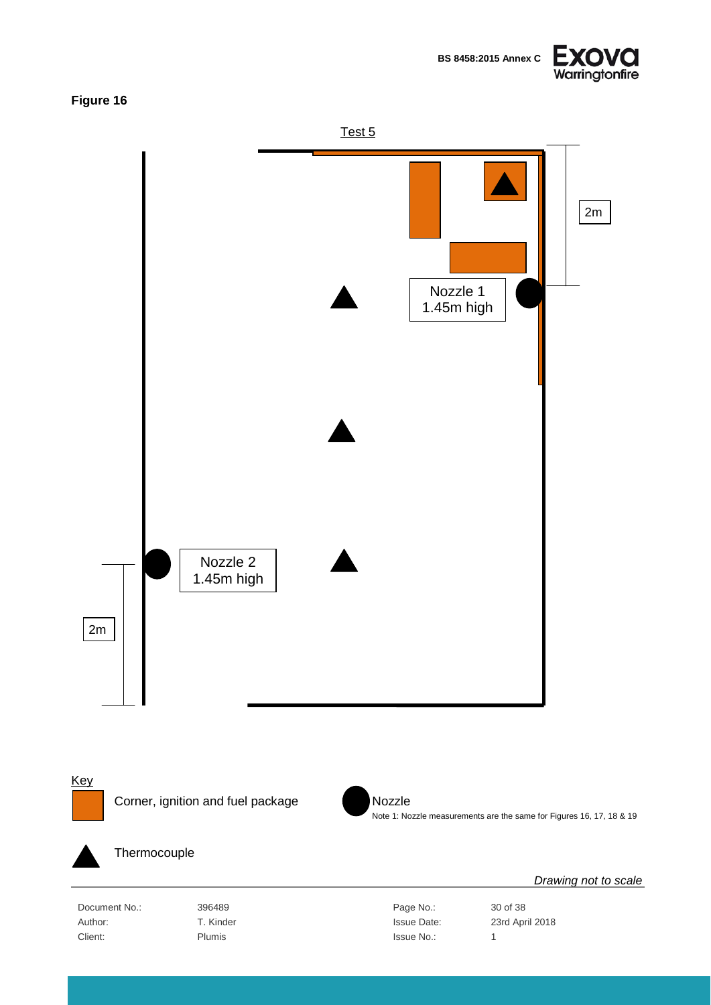

<span id="page-29-0"></span>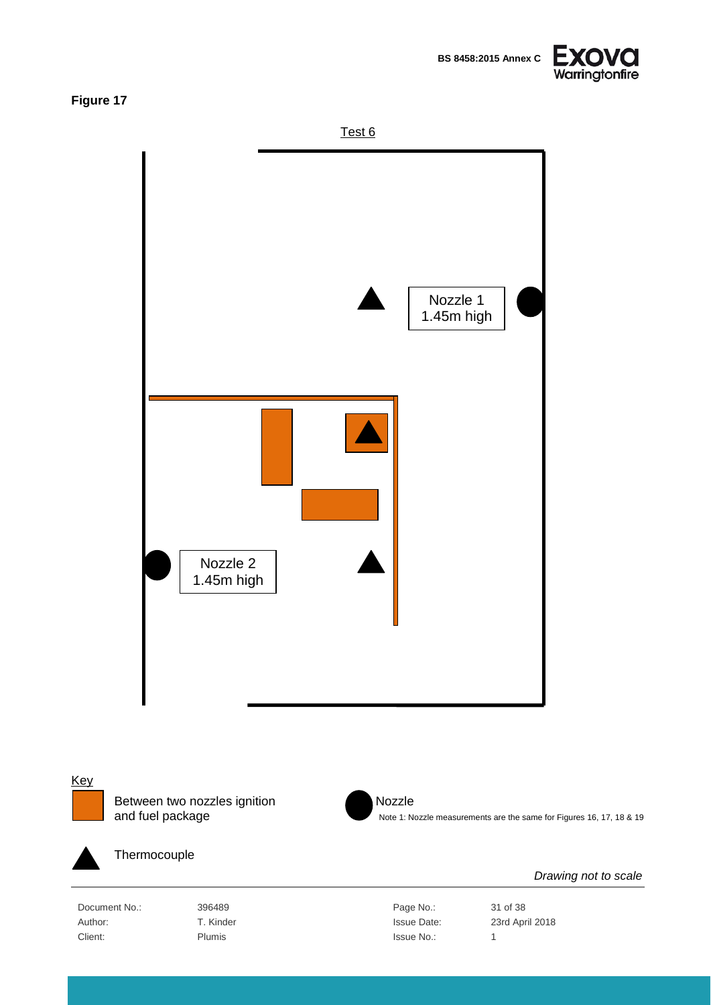**BS 8458:2015 Annex C**



<span id="page-30-0"></span>**Figure 17**







Between two nozzles ignition Nozzle<br>and fuel package Note 1: Note 1: N



Note 1: Nozzle measurements are the same for Figures 16, 17, 18 & 19



Thermocouple

Document No.: 396489 396489 Page No.: 31 of 38 Author: T. Kinder Issue Date: 23rd April 2018 Client: Plumis Plumis and Plumis and Plumis and Plumis and Plumis and Plumis and Plumis and Plumis and Plumis 1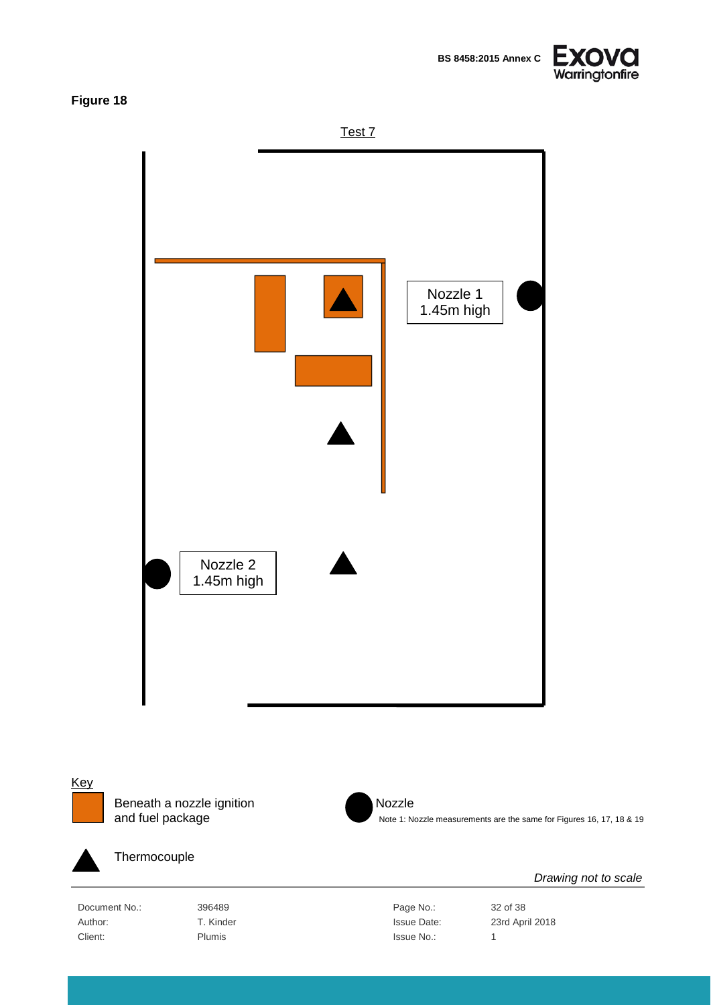**BS 8458:2015 Annex C**



### <span id="page-31-0"></span>**Figure 18**





**Key** 

Beneath a nozzle ignition Nozzle<br>and fuel package Note 1: Note 1: Note 1: Note 1: Note 1: Note 1: Note 1: Note 1: Note 1: Note 1: Note 1: Note 1: Note 1: Note 1: Note 1: Note 1: Note 1: Note 1: Note 1: Note 1: Note 1: Note



Note 1: Nozzle measurements are the same for Figures 16, 17, 18 & 19



#### Thermocouple

Document No.: 396489 396489 Page No.: 32 of 38 Author: T. Kinder Issue Date: 23rd April 2018 Client: Plumis Plumis and Plumis and Plumis and Plumis and Plumis and Plumis and Plumis and Plumis and Plumis 1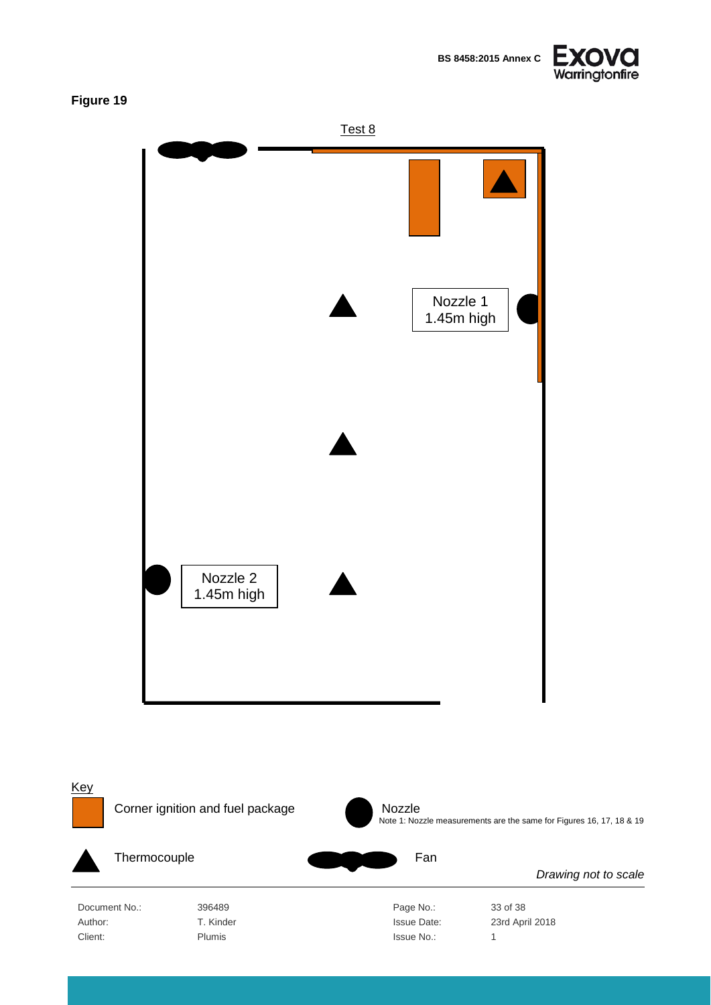

<span id="page-32-0"></span>

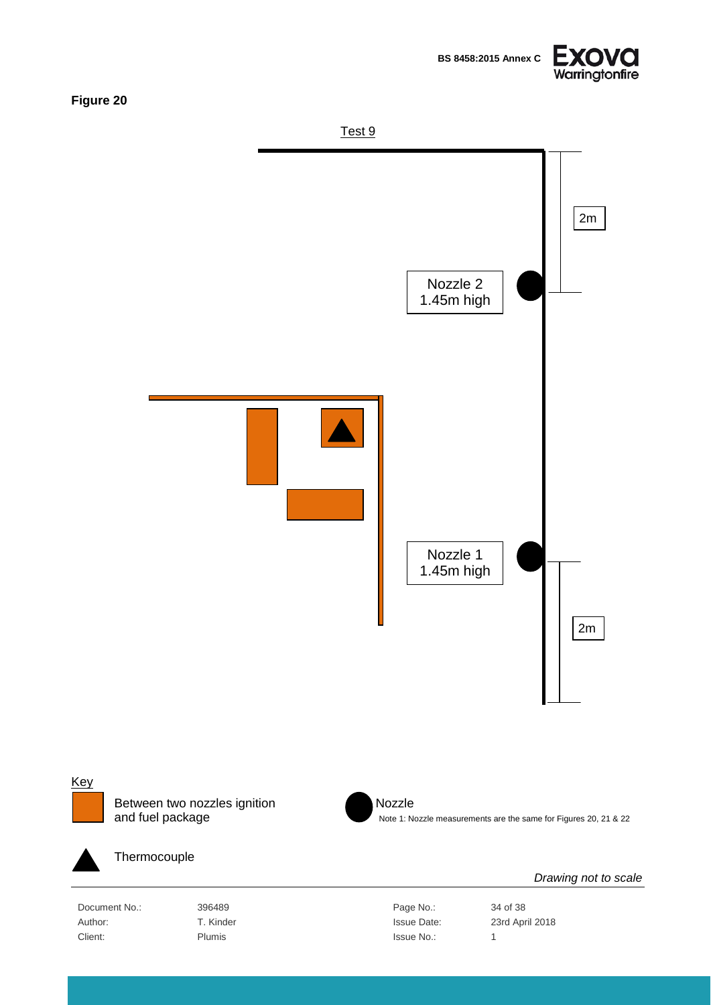

<span id="page-33-0"></span>



Between two nozzles ignition Nozzle<br>and fuel package Note 1: N



Note 1: Nozzle measurements are the same for Figures 20, 21 & 22



Thermocouple

Document No.: 396489 396489 Page No.: 34 of 38 Client: Plumis Plumis and Plumis and Plumis and Plumis and Plumis and Plumis and Plumis and Plumis and Plumis 1

Author: T. Kinder Issue Date: 23rd April 2018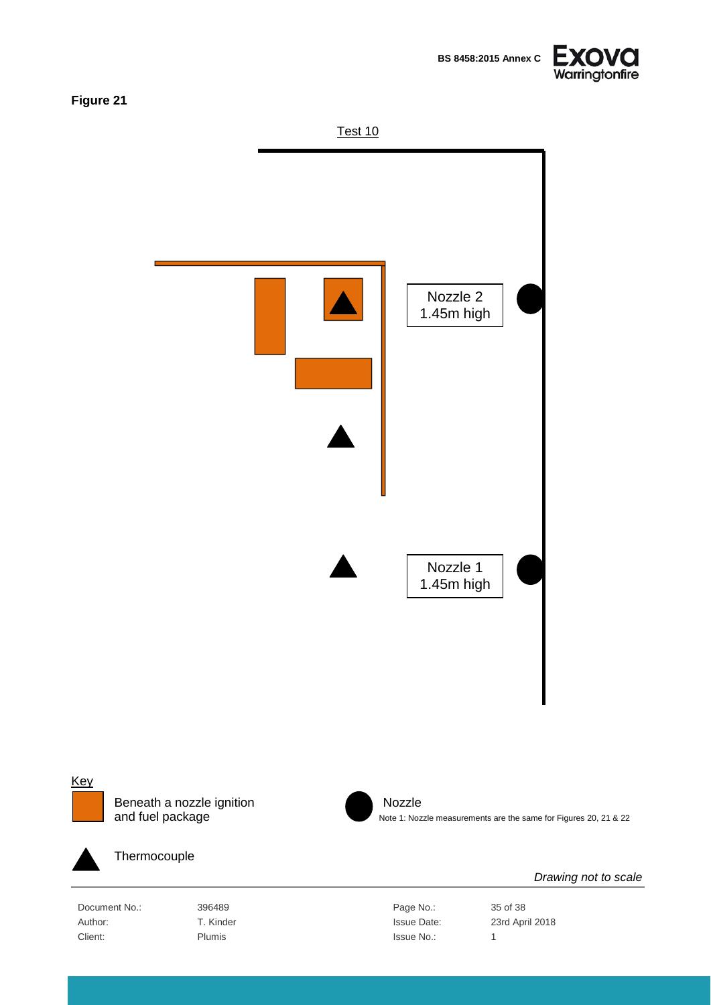**BS 8458:2015 Annex C**



<span id="page-34-0"></span>**Figure 21**





#### **Key**



Beneath a nozzle ignition Nozzle<br>and fuel package Note 1: Noz



Note 1: Nozzle measurements are the same for Figures 20, 21 & 22



Thermocouple

Document No.: 396489 396489 Page No.: 35 of 38 Client: Plumis Plumis and Plumis and Plumis and Plumis and Plumis and Plumis and Plumis and Plumis and Plumis 1

Author: T. Kinder Issue Date: 23rd April 2018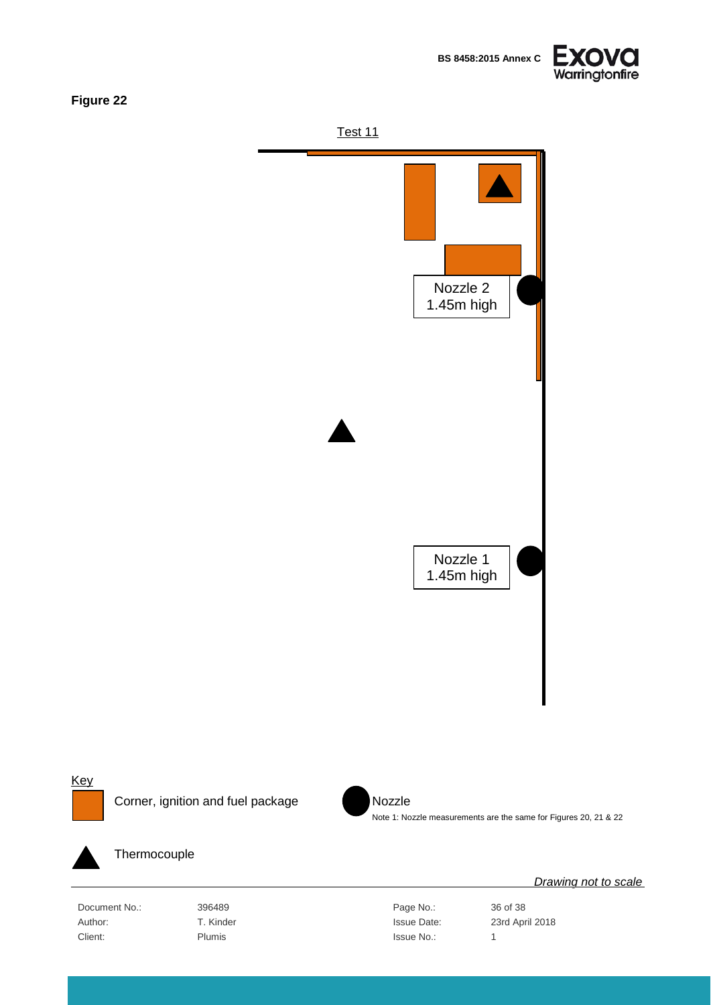



<span id="page-35-0"></span>



Corner, ignition and fuel package Nozzle



Note 1: Nozzle measurements are the same for Figures 20, 21 & 22



Thermocouple

Document No.: 396489 396489 Page No.: 36 of 38 Author: T. Kinder T. Kinder State Bate: 23rd April 2018 Client: Plumis Plumis and Plumis and Plumis and Plumis and Plumis and Plumis and Plumis and Plumis and Plumis 1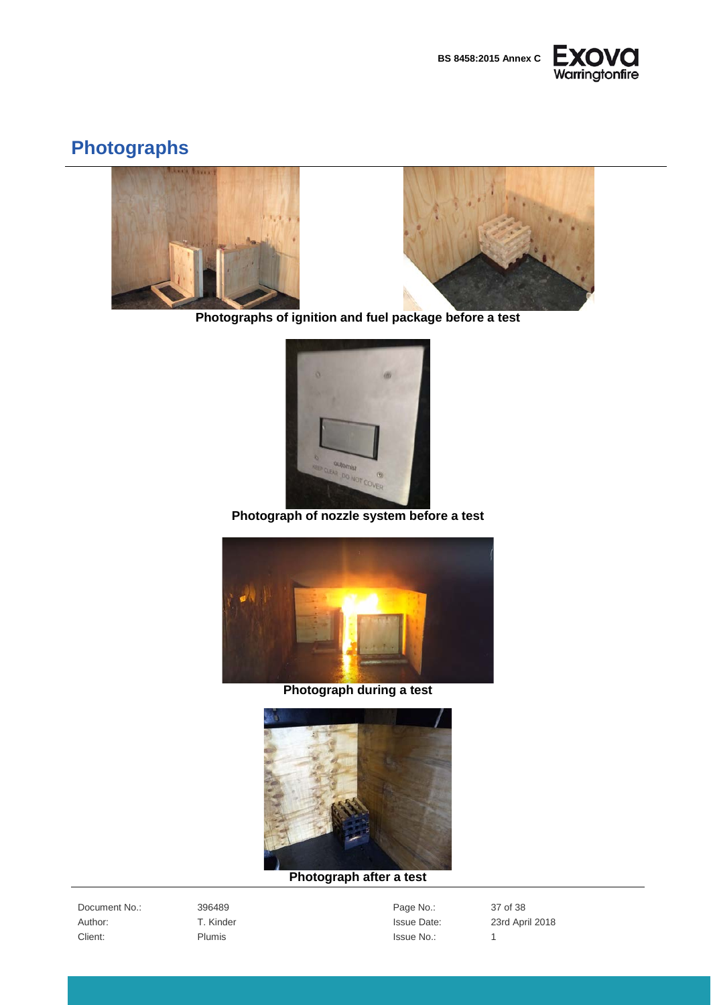



## <span id="page-36-0"></span>**Photographs**





**Photographs of ignition and fuel package before a test**



**Photograph of nozzle system before a test**



**Photograph during a test**



#### **Photograph after a test**

Document No.: 396489 396489 Page No.: 37 of 38 Client: Plumis Plumis and Plumis and Plumis and Plumis and Plumis and Plumis and Plumis and Plumis and Plumis 1